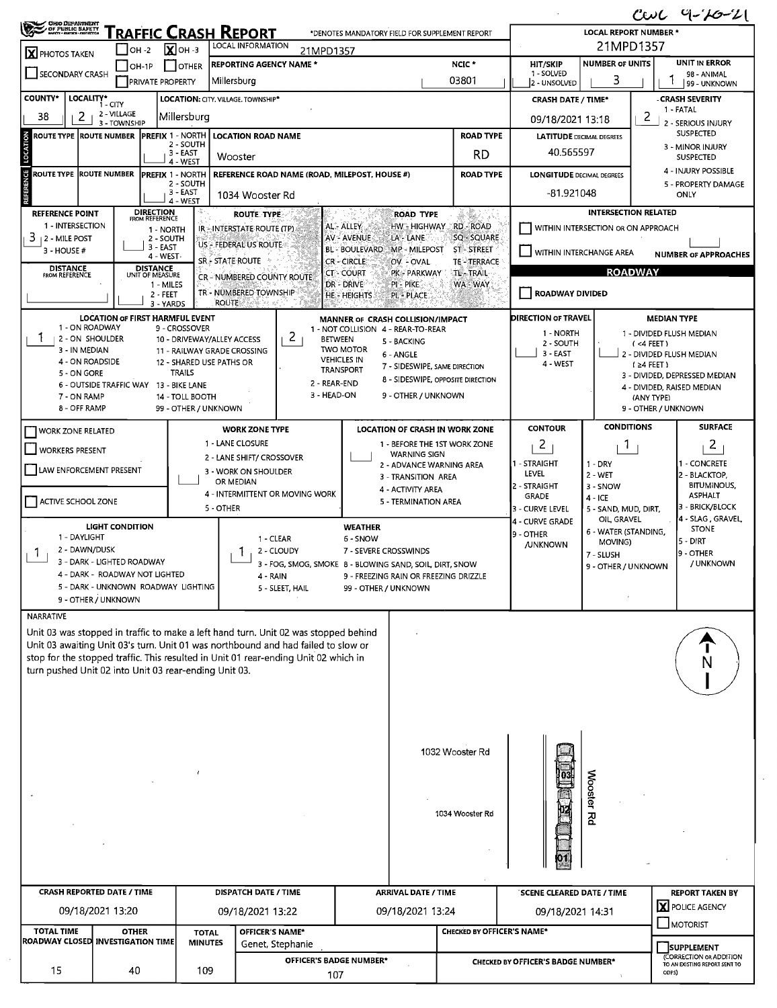| $CovC$ 9- $7O-Z$                                                                                                                                                         |                                                                       |                                                 |                                           |                                                          |                                                                                                                                                                                                                                                                                     |                                                      |                                          |                                       |                                                            |                                                                   |                                          |                                              |  |  |  |
|--------------------------------------------------------------------------------------------------------------------------------------------------------------------------|-----------------------------------------------------------------------|-------------------------------------------------|-------------------------------------------|----------------------------------------------------------|-------------------------------------------------------------------------------------------------------------------------------------------------------------------------------------------------------------------------------------------------------------------------------------|------------------------------------------------------|------------------------------------------|---------------------------------------|------------------------------------------------------------|-------------------------------------------------------------------|------------------------------------------|----------------------------------------------|--|--|--|
| <b>CHO DEPARTMENT</b><br>OF PUBLIC BAFETT                                                                                                                                |                                                                       |                                                 |                                           | <u> Traffic Crash Report</u><br><b>LOCAL INFORMATION</b> |                                                                                                                                                                                                                                                                                     | *DENOTES MANDATORY FIELD FOR SUPPLEMENT REPORT       |                                          |                                       | <b>LOCAL REPORT NUMBER *</b><br>21MPD1357                  |                                                                   |                                          |                                              |  |  |  |
| <b>X</b> PHOTOS TAKEN                                                                                                                                                    |                                                                       | $I$ OH -2                                       | $\sum$ OH -3                              | <b>REPORTING AGENCY NAME *</b>                           | 21MPD1357                                                                                                                                                                                                                                                                           |                                                      |                                          | NCIC *                                | <b>UNIT IN ERROR</b><br><b>NUMBER OF UNITS</b><br>HIT/SKIP |                                                                   |                                          |                                              |  |  |  |
| SECONDARY CRASH                                                                                                                                                          |                                                                       | OH-1P<br><b>PRIVATE PROPERTY</b>                | I I OTHER                                 | Millersburg                                              |                                                                                                                                                                                                                                                                                     |                                                      |                                          | 03801                                 | 1 - SOLVED<br>2 - UNSOLVED                                 | 3                                                                 |                                          | 98 - ANIMAL<br>99 - UNKNOWN                  |  |  |  |
| LOCALITY*<br><b>COUNTY*</b>                                                                                                                                              | 1 - CITY                                                              |                                                 |                                           | LOCATION: CITY. VILLAGE. TOWNSHIP*                       |                                                                                                                                                                                                                                                                                     |                                                      |                                          |                                       | <b>CRASH DATE / TIME*</b>                                  | <b>CRASH SEVERITY</b>                                             |                                          |                                              |  |  |  |
| 38<br>2                                                                                                                                                                  | 2 - VILLAGE<br>3 - TOWNSHIP                                           |                                                 | Millersburg                               |                                                          |                                                                                                                                                                                                                                                                                     |                                                      |                                          |                                       | 09/18/2021 13:18                                           |                                                                   | $\overline{c}$                           | 1 - FATAL<br>2 - SERIOUS INJURY              |  |  |  |
| ROUTE TYPE  ROUTE NUMBER                                                                                                                                                 |                                                                       | <b>PREFIX 1 - NORTH</b>                         | 2 - SOUTH                                 | <b>LOCATION ROAD NAME</b>                                |                                                                                                                                                                                                                                                                                     |                                                      |                                          | <b>ROAD TYPE</b>                      | <b>LATITUDE DECIMAL DEGREES</b>                            |                                                                   |                                          | <b>SUSPECTED</b>                             |  |  |  |
| LOCATION                                                                                                                                                                 | 3 - EAST<br>Wooster<br>4 - WEST                                       |                                                 |                                           |                                                          |                                                                                                                                                                                                                                                                                     |                                                      |                                          |                                       | 40.565597                                                  |                                                                   |                                          | 3 - MINOR INJURY<br>SUSPECTED                |  |  |  |
| REFERENCE<br>ROUTE TYPE  ROUTE NUMBER                                                                                                                                    |                                                                       | <b>PREFIX 1 - NORTH</b>                         | 2 - SOUTH                                 |                                                          | REFERENCE ROAD NAME (ROAD, MILEPOST, HOUSE #)                                                                                                                                                                                                                                       |                                                      |                                          | <b>ROAD TYPE</b>                      | <b>LONGITUDE DECIMAL DEGREES</b>                           |                                                                   |                                          | 4 - INJURY POSSIBLE<br>5 - PROPERTY DAMAGE   |  |  |  |
|                                                                                                                                                                          | 3 - EAST<br>1034 Wooster Rd<br>4 - WEST                               |                                                 |                                           |                                                          |                                                                                                                                                                                                                                                                                     |                                                      |                                          |                                       | -81.921048                                                 | ONLY                                                              |                                          |                                              |  |  |  |
| <b>DIRECTION</b><br><b>REFERENCE POINT</b><br><b>ROUTE TYPE</b><br><b>FROM REFERENCE</b><br>1 - INTERSECTION<br>AL - ALLEY<br>IR - INTERSTATE ROUTE (TP)                 |                                                                       |                                                 |                                           |                                                          |                                                                                                                                                                                                                                                                                     |                                                      | <b>ROAD TYPE</b><br>HW - HIGHWAY         | RD - ROAD                             |                                                            | <b>INTERSECTION RELATED</b><br>WITHIN INTERSECTION OR ON APPROACH |                                          |                                              |  |  |  |
| $3$ $\pm$ 2 - MILE POST                                                                                                                                                  |                                                                       | 1 - NORTH<br>2 - SOUTH<br>3 - EAST              |                                           | US - FEDERAL US ROUTE                                    |                                                                                                                                                                                                                                                                                     | AV - AVENUE                                          | LA - LANE                                | SQ - SQUARE                           |                                                            |                                                                   |                                          |                                              |  |  |  |
| 3 - HOUSE #                                                                                                                                                              |                                                                       | 4 - WEST                                        |                                           | SR - STATE ROUTE                                         | BL - BOULEVARD<br><b>MP - MILEPOST</b><br><b>ST-STREET</b><br>WITHIN INTERCHANGE AREA<br><b>CR-CIRCLE</b><br><b>TE-TERRACE</b><br>OV - OVAL<br><b>ROADWAY</b><br><b>TL-TRAIL</b><br><b>CT-COURT</b><br>PK PARKWAY<br>CR - NUMBERED COUNTY ROUTE<br>DR - DRIVE<br>PI-PIKE<br>WA WAY. |                                                      |                                          |                                       |                                                            |                                                                   | <b>NUMBER OF APPROACHES</b>              |                                              |  |  |  |
| <b>DISTANCE</b><br>FROM REFERENCE                                                                                                                                        |                                                                       | <b>DISTANCE</b><br>UNIT OF MEASURE<br>1 - MILES |                                           |                                                          |                                                                                                                                                                                                                                                                                     |                                                      |                                          |                                       |                                                            |                                                                   |                                          |                                              |  |  |  |
|                                                                                                                                                                          |                                                                       | 2 - FEET<br>3 - YARDS                           |                                           | TR - NUMBERED TOWNSHIP<br><b>ROUTE</b>                   |                                                                                                                                                                                                                                                                                     | <b>HE-HEIGHTS</b>                                    | PL - PLACE                               |                                       | ROADWAY DIVIDED                                            |                                                                   |                                          |                                              |  |  |  |
|                                                                                                                                                                          | <b>LOCATION OF FIRST HARMFUL EVENT</b>                                |                                                 |                                           |                                                          |                                                                                                                                                                                                                                                                                     | MANNER OF CRASH COLLISION/IMPACT                     |                                          |                                       | <b>DIRECTION OF TRAVEL</b>                                 |                                                                   | <b>MEDIAN TYPE</b>                       |                                              |  |  |  |
| 1 - ON ROADWAY<br>Τ.<br>12 - ON SHOULDER                                                                                                                                 |                                                                       |                                                 | 9 - CROSSOVER                             | 10 - DRIVEWAY/ALLEY ACCESS                               | 2                                                                                                                                                                                                                                                                                   | 1 - NOT COLLISION 4 - REAR-TO-REAR<br><b>BETWEEN</b> | 5 - BACKING                              |                                       | 1 - NORTH                                                  |                                                                   | 1 - DIVIDED FLUSH MEDIAN                 |                                              |  |  |  |
| 3 - IN MEDIAN                                                                                                                                                            |                                                                       |                                                 |                                           | 11 - RAILWAY GRADE CROSSING                              |                                                                                                                                                                                                                                                                                     | <b>TWO MOTOR</b><br><b>VEHICLES IN</b>               | 6 - ANGLE                                |                                       | 2 - SOUTH<br>$3 - EAST$                                    |                                                                   | $($ <4 FEET)<br>2 - DIVIDED FLUSH MEDIAN |                                              |  |  |  |
| 4 - ON ROADSIDE<br>5 - ON GORE                                                                                                                                           |                                                                       |                                                 | 12 - SHARED USE PATHS OR<br><b>TRAILS</b> |                                                          |                                                                                                                                                                                                                                                                                     | <b>TRANSPORT</b>                                     | 7 - SIDESWIPE, SAME DIRECTION            |                                       | 4 - WEST                                                   |                                                                   | $(24$ FEET)                              | 3 - DIVIDED, DEPRESSED MEDIAN                |  |  |  |
| 7 - ON RAMP                                                                                                                                                              | 6 - OUTSIDE TRAFFIC WAY 13 - BIKE LANE                                |                                                 | 14 - TOLL BOOTH                           |                                                          | 3 - HEAD-ON                                                                                                                                                                                                                                                                         | 2 - REAR-END                                         | 9 - OTHER / UNKNOWN                      | 8 - SIDESWIPE, OPPOSITE DIRECTION     |                                                            |                                                                   | (ANY TYPE)                               | 4 - DIVIDED, RAISED MEDIAN                   |  |  |  |
| 8 - OFF RAMP                                                                                                                                                             |                                                                       |                                                 | 99 - OTHER / UNKNOWN                      |                                                          |                                                                                                                                                                                                                                                                                     |                                                      |                                          |                                       |                                                            |                                                                   | 9 - OTHER / UNKNOWN                      |                                              |  |  |  |
| WORK ZONE RELATED                                                                                                                                                        |                                                                       |                                                 |                                           | <b>WORK ZONE TYPE</b>                                    |                                                                                                                                                                                                                                                                                     |                                                      |                                          | <b>LOCATION OF CRASH IN WORK ZONE</b> | <b>CONTOUR</b>                                             | <b>CONDITIONS</b>                                                 |                                          | <b>SURFACE</b>                               |  |  |  |
| <b>WORKERS PRESENT</b>                                                                                                                                                   |                                                                       |                                                 |                                           | 1 - LANE CLOSURE                                         |                                                                                                                                                                                                                                                                                     |                                                      | <b>WARNING SIGN</b>                      | 1 - BEFORE THE 1ST WORK ZONE          | 2                                                          | $\overline{1}$                                                    |                                          | 2                                            |  |  |  |
| LAW ENFORCEMENT PRESENT                                                                                                                                                  |                                                                       |                                                 |                                           | 2 - LANE SHIFT/ CROSSOVER<br>3 - WORK ON SHOULDER        |                                                                                                                                                                                                                                                                                     |                                                      | 2 - ADVANCE WARNING AREA                 |                                       | 1 - STRAIGHT<br>LEVEL                                      | 1 - DRY                                                           |                                          | 1 - CONCRETE                                 |  |  |  |
|                                                                                                                                                                          |                                                                       |                                                 |                                           | OR MEDIAN                                                |                                                                                                                                                                                                                                                                                     |                                                      | 3 - TRANSITION AREA<br>4 - ACTIVITY AREA |                                       | 2 - STRAIGHT                                               | 2 - WET<br>3 - SNOW                                               |                                          | 2 - BLACKTOP,<br><b>BITUMINOUS,</b>          |  |  |  |
| ACTIVE SCHOOL ZONE                                                                                                                                                       |                                                                       |                                                 |                                           | 5 - OTHER                                                | 4 - INTERMITTENT OR MOVING WORK                                                                                                                                                                                                                                                     |                                                      | 5 - TERMINATION AREA                     |                                       | <b>GRADE</b><br>3 - CURVE LEVEL                            | $4 - ICE$<br>5 - SAND, MUD, DIRT,                                 |                                          | <b>ASPHALT</b><br>3 - BRICK/BLOCK            |  |  |  |
|                                                                                                                                                                          | <b>LIGHT CONDITION</b>                                                |                                                 |                                           |                                                          |                                                                                                                                                                                                                                                                                     | <b>WEATHER</b>                                       |                                          |                                       | 4 - CURVE GRADE                                            | OIL GRAVEL                                                        |                                          | 4 - SLAG, GRAVEL,<br><b>STONE</b>            |  |  |  |
| 1 - DAYLIGHT<br>2 - DAWN/DUSK                                                                                                                                            |                                                                       |                                                 |                                           |                                                          | 1 - CLEAR                                                                                                                                                                                                                                                                           | 6 - SNOW                                             |                                          |                                       | 9 - OTHER<br><b>/UNKNOWN</b>                               | 6 - WATER (STANDING,<br>MOVING)                                   |                                          | 5 - DIRT                                     |  |  |  |
| 1                                                                                                                                                                        | 3 - DARK - LIGHTED ROADWAY                                            |                                                 |                                           |                                                          | 2 - CLOUDY<br>3 - FOG, SMOG, SMOKE 8 - BLOWING SAND, SOIL, DIRT, SNOW                                                                                                                                                                                                               | 7 - SEVERE CROSSWINDS                                |                                          |                                       |                                                            | 7 - SLUSH<br>9 - OTHER / UNKNOWN                                  |                                          | 19 - OTHER<br>/ UNKNOWN                      |  |  |  |
|                                                                                                                                                                          | 4 - DARK - ROADWAY NOT LIGHTED<br>5 - DARK - UNKNOWN ROADWAY LIGHTING |                                                 |                                           |                                                          | 4 - KAIN<br>5 - SLEET, HAIL                                                                                                                                                                                                                                                         | 99 - OTHER / UNKNOWN                                 | 9 - FREEZING RAIN OR FREEZING DRIZZLE    |                                       |                                                            |                                                                   |                                          |                                              |  |  |  |
|                                                                                                                                                                          | 9 - OTHER / UNKNOWN                                                   |                                                 |                                           |                                                          |                                                                                                                                                                                                                                                                                     |                                                      |                                          |                                       |                                                            |                                                                   |                                          |                                              |  |  |  |
| NARRATIVE                                                                                                                                                                |                                                                       |                                                 |                                           |                                                          |                                                                                                                                                                                                                                                                                     |                                                      |                                          |                                       |                                                            |                                                                   |                                          |                                              |  |  |  |
| Unit 03 was stopped in traffic to make a left hand turn. Unit 02 was stopped behind<br>Unit 03 awaiting Unit 03's turn. Unit 01 was northbound and had failed to slow or |                                                                       |                                                 |                                           |                                                          |                                                                                                                                                                                                                                                                                     |                                                      |                                          |                                       |                                                            |                                                                   |                                          |                                              |  |  |  |
| stop for the stopped traffic. This resulted in Unit 01 rear-ending Unit 02 which in                                                                                      |                                                                       |                                                 |                                           |                                                          |                                                                                                                                                                                                                                                                                     |                                                      |                                          |                                       |                                                            |                                                                   |                                          | N                                            |  |  |  |
| turn pushed Unit 02 into Unit 03 rear-ending Unit 03.                                                                                                                    |                                                                       |                                                 |                                           |                                                          |                                                                                                                                                                                                                                                                                     |                                                      |                                          |                                       |                                                            |                                                                   |                                          |                                              |  |  |  |
|                                                                                                                                                                          |                                                                       |                                                 |                                           |                                                          |                                                                                                                                                                                                                                                                                     |                                                      |                                          |                                       |                                                            |                                                                   |                                          |                                              |  |  |  |
|                                                                                                                                                                          |                                                                       |                                                 |                                           |                                                          |                                                                                                                                                                                                                                                                                     |                                                      |                                          |                                       |                                                            |                                                                   |                                          |                                              |  |  |  |
|                                                                                                                                                                          |                                                                       |                                                 |                                           |                                                          |                                                                                                                                                                                                                                                                                     |                                                      |                                          |                                       |                                                            |                                                                   |                                          |                                              |  |  |  |
|                                                                                                                                                                          |                                                                       |                                                 |                                           |                                                          |                                                                                                                                                                                                                                                                                     |                                                      |                                          | 1032 Wooster Rd                       |                                                            |                                                                   |                                          |                                              |  |  |  |
|                                                                                                                                                                          |                                                                       |                                                 |                                           |                                                          |                                                                                                                                                                                                                                                                                     |                                                      |                                          |                                       | $\overline{03}$                                            |                                                                   |                                          |                                              |  |  |  |
|                                                                                                                                                                          |                                                                       |                                                 |                                           |                                                          |                                                                                                                                                                                                                                                                                     |                                                      |                                          |                                       |                                                            |                                                                   |                                          |                                              |  |  |  |
|                                                                                                                                                                          |                                                                       |                                                 |                                           |                                                          |                                                                                                                                                                                                                                                                                     |                                                      |                                          | 1034 Wooster Rd                       |                                                            | Wooster Rd                                                        |                                          |                                              |  |  |  |
|                                                                                                                                                                          |                                                                       |                                                 |                                           |                                                          |                                                                                                                                                                                                                                                                                     |                                                      |                                          |                                       |                                                            |                                                                   |                                          |                                              |  |  |  |
|                                                                                                                                                                          |                                                                       |                                                 |                                           |                                                          |                                                                                                                                                                                                                                                                                     |                                                      |                                          |                                       |                                                            |                                                                   |                                          |                                              |  |  |  |
|                                                                                                                                                                          |                                                                       |                                                 |                                           |                                                          |                                                                                                                                                                                                                                                                                     |                                                      |                                          |                                       |                                                            |                                                                   |                                          |                                              |  |  |  |
| <b>CRASH REPORTED DATE / TIME</b>                                                                                                                                        |                                                                       |                                                 |                                           | DISPATCH DATE / TIME                                     |                                                                                                                                                                                                                                                                                     |                                                      | <b>ARRIVAL DATE / TIME</b>               |                                       | SCENE CLEARED DATE / TIME                                  |                                                                   |                                          | <b>REPORT TAKEN BY</b>                       |  |  |  |
|                                                                                                                                                                          | 09/18/2021 13:20                                                      |                                                 |                                           | 09/18/2021 13:22                                         |                                                                                                                                                                                                                                                                                     |                                                      | 09/18/2021 13:24                         |                                       | 09/18/2021 14:31                                           |                                                                   |                                          | X POLICE AGENCY                              |  |  |  |
| <b>TOTAL TIME</b>                                                                                                                                                        | <b>OTHER</b>                                                          |                                                 | <b>TOTAL</b>                              | <b>OFFICER'S NAME*</b>                                   |                                                                                                                                                                                                                                                                                     |                                                      |                                          | <b>CHECKED BY OFFICER'S NAME*</b>     |                                                            |                                                                   |                                          | $\lrcorner$ MOTORIST                         |  |  |  |
| <b>ROADWAY CLOSED INVESTIGATION TIME</b>                                                                                                                                 |                                                                       |                                                 | <b>MINUTES</b>                            |                                                          | Genet, Stephanie                                                                                                                                                                                                                                                                    |                                                      |                                          |                                       |                                                            |                                                                   |                                          | <b>SUPPLEMENT</b><br>(CORRECTION OR ADDITION |  |  |  |
| 15                                                                                                                                                                       | 40                                                                    |                                                 | 109                                       |                                                          |                                                                                                                                                                                                                                                                                     | OFFICER'S BADGE NUMBER*<br>107                       |                                          |                                       | CHECKED BY OFFICER'S BADGE NUMBER*                         |                                                                   | ODPS)                                    | TO AN EXISTING REPORT SENT TO                |  |  |  |
|                                                                                                                                                                          |                                                                       |                                                 |                                           |                                                          |                                                                                                                                                                                                                                                                                     |                                                      |                                          |                                       |                                                            |                                                                   |                                          |                                              |  |  |  |

 $\mathcal{A}^{\mathcal{A}}$ 

 $\hat{\mathcal{A}}$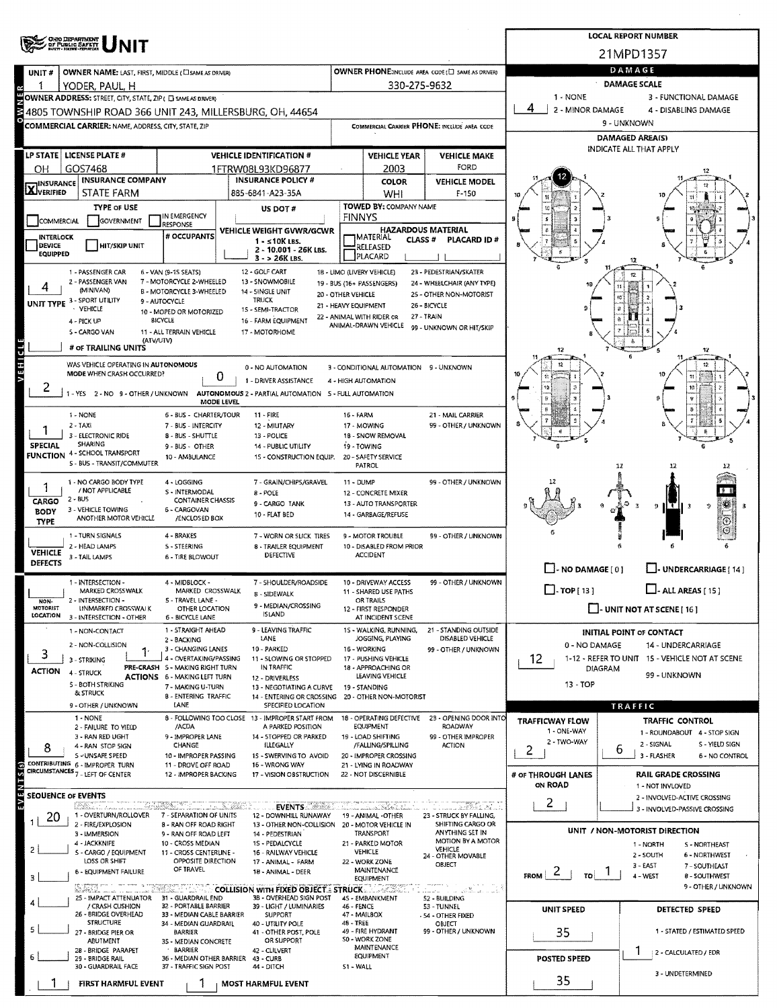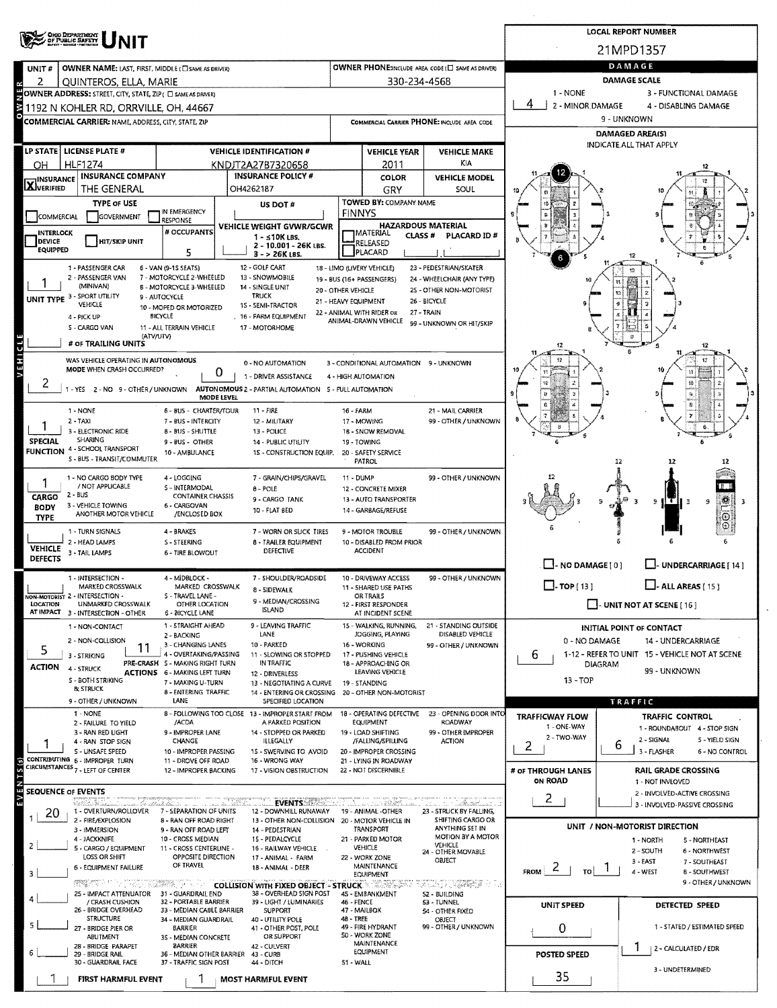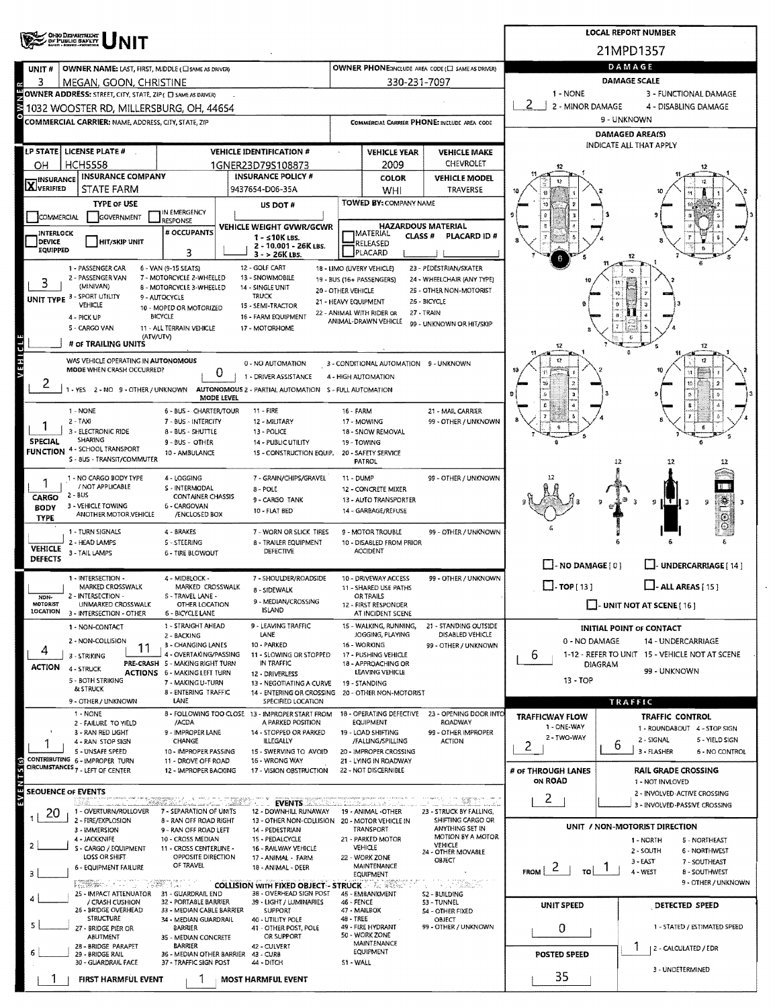| <b>CHIO DEPARTMENT</b><br>/ OF PUBLIC SAFETY<br>21MPD1357<br>DAMAGE<br>OWNER PHONE:INCLUDE AREA CODE (E) SAME AS DRIVER)<br>OWNER NAME: LAST, FIRST, MIDDLE (C) SAME AS DRIVER)<br>UNIT#<br><b>DAMAGE SCALE</b><br>330-231-7097<br>3<br>MEGAN, GOON, CHRISTINE<br>1 - NONE<br>OWNER ADDRESS: STREET, CITY, STATE, ZIP ( C) SAME AS DRIVER)<br>2<br>2 - MINOR DAMAGE<br>1032 WOOSTER RD, MILLERSBURG, OH, 44654<br>9 - UNKNOWN<br><b>COMMERCIAL CARRIER: NAME, ADDRESS, CITY, STATE, ZIP</b><br>COMMERCIAL CARRIER PHONE: INCLUDE AREA CODE<br><b>DAMAGED AREA(S)</b><br>INDICATE ALL THAT APPLY<br>LP STATE   LICENSE PLATE #<br><b>VEHICLE IDENTIFICATION #</b><br><b>VEHICLE YEAR</b><br><b>VEHICLE MAKE</b><br><b>CHEVROLET</b><br>HCH5558<br>2009<br>OH.<br>1GNER23D79S108873<br><b>INSURANCE COMPANY</b><br><b>INSURANCE POLICY #</b><br>COLOR<br><b>VEHICLE MODEL</b><br><b>X</b> INSURANCE<br><b>STATE FARM</b><br>9437654-D06-35A<br>WHI<br><b>TRAVERSE</b><br>TOWED BY: COMPANY NAME<br><b>TYPE OF USE</b><br>US DOT#<br>IN EMERGENCY | 3 - FUNCTIONAL DAMAGE<br>4 - DISABLING DAMAGE                 |
|------------------------------------------------------------------------------------------------------------------------------------------------------------------------------------------------------------------------------------------------------------------------------------------------------------------------------------------------------------------------------------------------------------------------------------------------------------------------------------------------------------------------------------------------------------------------------------------------------------------------------------------------------------------------------------------------------------------------------------------------------------------------------------------------------------------------------------------------------------------------------------------------------------------------------------------------------------------------------------------------------------------------------------------------|---------------------------------------------------------------|
|                                                                                                                                                                                                                                                                                                                                                                                                                                                                                                                                                                                                                                                                                                                                                                                                                                                                                                                                                                                                                                                |                                                               |
|                                                                                                                                                                                                                                                                                                                                                                                                                                                                                                                                                                                                                                                                                                                                                                                                                                                                                                                                                                                                                                                |                                                               |
|                                                                                                                                                                                                                                                                                                                                                                                                                                                                                                                                                                                                                                                                                                                                                                                                                                                                                                                                                                                                                                                |                                                               |
|                                                                                                                                                                                                                                                                                                                                                                                                                                                                                                                                                                                                                                                                                                                                                                                                                                                                                                                                                                                                                                                |                                                               |
|                                                                                                                                                                                                                                                                                                                                                                                                                                                                                                                                                                                                                                                                                                                                                                                                                                                                                                                                                                                                                                                |                                                               |
|                                                                                                                                                                                                                                                                                                                                                                                                                                                                                                                                                                                                                                                                                                                                                                                                                                                                                                                                                                                                                                                |                                                               |
|                                                                                                                                                                                                                                                                                                                                                                                                                                                                                                                                                                                                                                                                                                                                                                                                                                                                                                                                                                                                                                                |                                                               |
|                                                                                                                                                                                                                                                                                                                                                                                                                                                                                                                                                                                                                                                                                                                                                                                                                                                                                                                                                                                                                                                |                                                               |
|                                                                                                                                                                                                                                                                                                                                                                                                                                                                                                                                                                                                                                                                                                                                                                                                                                                                                                                                                                                                                                                |                                                               |
|                                                                                                                                                                                                                                                                                                                                                                                                                                                                                                                                                                                                                                                                                                                                                                                                                                                                                                                                                                                                                                                |                                                               |
|                                                                                                                                                                                                                                                                                                                                                                                                                                                                                                                                                                                                                                                                                                                                                                                                                                                                                                                                                                                                                                                |                                                               |
| GOVERNMENT<br>COMMERCIAL<br><b>RESPONSE</b><br><b>HAZARDOUS MATERIAL</b><br>VEHICLE WEIGHT GVWR/GCWR                                                                                                                                                                                                                                                                                                                                                                                                                                                                                                                                                                                                                                                                                                                                                                                                                                                                                                                                           |                                                               |
| # OCCUPANTS<br><b>INTERLOCK</b><br><b>JMATERIAL</b><br>CLASS #<br><b>PLACARD ID#</b><br>1 - ≤10K LBS.<br><b>DEVICE</b><br><b>HIT/SKIP UNIT</b><br>RELEASED                                                                                                                                                                                                                                                                                                                                                                                                                                                                                                                                                                                                                                                                                                                                                                                                                                                                                     |                                                               |
| 2 - 10.001 - 26K LBS.<br><b>EQUIPPED</b><br>3<br>PLACARD<br>$3 - 26K$ LBS.                                                                                                                                                                                                                                                                                                                                                                                                                                                                                                                                                                                                                                                                                                                                                                                                                                                                                                                                                                     |                                                               |
| 12 - GOLF CART<br>1 - PASSENGER CAR<br>6 - VAN (9-15 SEATS)<br>18 - LIMO (LIVERY VEHICLE)<br>23 - PEDESTRIAN/SKATER                                                                                                                                                                                                                                                                                                                                                                                                                                                                                                                                                                                                                                                                                                                                                                                                                                                                                                                            |                                                               |
| 7 - MOTORCYCLE 2-WHEELED<br>2 - PASSENGER VAN<br>13 - SNOWMOBILE<br>19 - BUS (16+ PASSENGERS)<br>24 - WHEELCHAIR (ANY TYPE)<br>3<br>(MINIVAN)<br>8 - MOTORCYCLE 3-WHEELED<br>14 SINGLE UNIT<br>20 - OTHER VEHICLE<br>25 - OTHER NON-MOTORIST                                                                                                                                                                                                                                                                                                                                                                                                                                                                                                                                                                                                                                                                                                                                                                                                   |                                                               |
| 19<br>UNIT TYPE 3 - SPORT UTILITY<br><b>TRUCK</b><br>9 - AUTOCYCLE<br>21 - HEAVY EQUIPMENT<br>26 - BICYCLE<br><b>VEHICLE</b><br>$\Omega$<br>15 - SEMI-TRACTOR<br>10 - MOPED OR MOTORIZED                                                                                                                                                                                                                                                                                                                                                                                                                                                                                                                                                                                                                                                                                                                                                                                                                                                       |                                                               |
| 22 - ANIMAL WITH RIDER OR<br>27 - TRAIN<br><b>BICYCLE</b><br>16 - FARM EQUIPMENT<br>4 - PICK UP<br>ANIMAL-DRAWN VEHICLE                                                                                                                                                                                                                                                                                                                                                                                                                                                                                                                                                                                                                                                                                                                                                                                                                                                                                                                        |                                                               |
| 99 - UNKNOWN OR HIT/SKIP<br>5 - CARGO VAN<br>11 - ALL TERRAIN VEHICLE<br>17 - MOTORHOME<br>(ATV/UTV)                                                                                                                                                                                                                                                                                                                                                                                                                                                                                                                                                                                                                                                                                                                                                                                                                                                                                                                                           |                                                               |
| # OF TRAILING UNITS<br>12                                                                                                                                                                                                                                                                                                                                                                                                                                                                                                                                                                                                                                                                                                                                                                                                                                                                                                                                                                                                                      | 12                                                            |
| WAS VEHICLE OPERATING IN AUTONOMOUS<br>0 - NO AUTOMATION<br>3 - CONDITIONAL AUTOMATION 9 - UNKNOWN<br>MODE WHEN CRASH OCCURRED?                                                                                                                                                                                                                                                                                                                                                                                                                                                                                                                                                                                                                                                                                                                                                                                                                                                                                                                |                                                               |
| 0<br>1 - DRIVER ASSISTANCE<br>4 - HIGH AUTOMATION                                                                                                                                                                                                                                                                                                                                                                                                                                                                                                                                                                                                                                                                                                                                                                                                                                                                                                                                                                                              |                                                               |
| - YES 2 - NO 9 - OTHER / UNKNOWN<br>AUTONOMOUS 2 - PARTIAL AUTOMATION S - FULL AUTOMATION<br>MODE LEVEL                                                                                                                                                                                                                                                                                                                                                                                                                                                                                                                                                                                                                                                                                                                                                                                                                                                                                                                                        |                                                               |
| 1 - NONE<br>11 - FIRE<br>6 - BUS - CHARTER/TOUR<br>16 - FARM<br>21 - MAIL CARRIER                                                                                                                                                                                                                                                                                                                                                                                                                                                                                                                                                                                                                                                                                                                                                                                                                                                                                                                                                              |                                                               |
| $2 - TAXI$<br>99 - OTHER / UNKNOWN<br>7 - BUS - INTERCITY<br>12 - MILITARY<br>17 - MOWING                                                                                                                                                                                                                                                                                                                                                                                                                                                                                                                                                                                                                                                                                                                                                                                                                                                                                                                                                      |                                                               |
| 3 - ELECTRONIC RIDE<br>8 - BUS - SHUTTLE<br>13 - POLICE<br>18 - SNOW REMOVAL<br><b>SHARING</b><br>SPECIAL<br>9 - BUS - OTHER<br>14 - PUBLIC UTILITY<br>19 - TOWING                                                                                                                                                                                                                                                                                                                                                                                                                                                                                                                                                                                                                                                                                                                                                                                                                                                                             |                                                               |
| <b>FUNCTION 4 - SCHOOL TRANSPORT</b><br>10 - AMBULANCE<br>15 - CONSTRUCTION EQUIP.<br>20 - SAFETY SERVICE<br>S - 8US - TRANSIT/COMMUTER<br>PATROL<br>12                                                                                                                                                                                                                                                                                                                                                                                                                                                                                                                                                                                                                                                                                                                                                                                                                                                                                        | 12                                                            |
|                                                                                                                                                                                                                                                                                                                                                                                                                                                                                                                                                                                                                                                                                                                                                                                                                                                                                                                                                                                                                                                |                                                               |
| 7 - GRAIN/CHIPS/GRAVEL<br>99 - OTHER / UNKNOWN<br>1 - NO CARGO BODY TYPE<br>4 - LOGGING<br>11 - DUMP<br>/ NOT APPLICABLE<br>S - INTERMODAL<br>8 - POLE<br>12 - CONCRETE MIXER                                                                                                                                                                                                                                                                                                                                                                                                                                                                                                                                                                                                                                                                                                                                                                                                                                                                  |                                                               |
| $2 - BUS$<br><b>CONTAINER CHASSIS</b><br>CARGO<br>9 - CARGO TANK<br>13 - AUTO TRANSPORTER<br>3 - VEHICLE TOWING<br>6 - CARGOVAN<br><b>BODY</b>                                                                                                                                                                                                                                                                                                                                                                                                                                                                                                                                                                                                                                                                                                                                                                                                                                                                                                 | ., 25<br>Ÿ.<br>9<br>Е                                         |
| 10 - FLAT BED<br>14 - GARBAGE/REFUSE<br>ANOTHER MOTOR VEHICLE<br>/ENCLOSED BOX<br><b>TYPE</b>                                                                                                                                                                                                                                                                                                                                                                                                                                                                                                                                                                                                                                                                                                                                                                                                                                                                                                                                                  | $\odot$                                                       |
| 1 - TURN SIGNALS<br>4 - BRAKES<br>7 - WORN OR SLICK TIRES<br>99 - OTHER / UNKNOWN<br>9 - MOTOR TROUBLE                                                                                                                                                                                                                                                                                                                                                                                                                                                                                                                                                                                                                                                                                                                                                                                                                                                                                                                                         |                                                               |
| 2 - HEAD LAMPS<br>5 - STEERING<br>8 - TRAILER EQUIPMENT<br>10 - DISABLED FROM PRIOR<br><b>VEHICLE</b><br><b>ACCIDENT</b><br>DEFECTIVE<br>3 - TAIL LAMPS<br><b>6 - TIRE BLOWOUT</b>                                                                                                                                                                                                                                                                                                                                                                                                                                                                                                                                                                                                                                                                                                                                                                                                                                                             |                                                               |
| DEFECTS<br>$\Box$ - NO DAMAGE [ 0 ]                                                                                                                                                                                                                                                                                                                                                                                                                                                                                                                                                                                                                                                                                                                                                                                                                                                                                                                                                                                                            | LI-UNDERCARRIAGE [ 14 ]                                       |
| 1 - INTERSECTION -<br>7 - SHOULDER/ROADSIDE<br>99 - OTHER / UNKNOWN<br>4 - MIDBLOCK -<br>10 - DRIVEWAY ACCESS<br>$\Box$ -TOP[13]                                                                                                                                                                                                                                                                                                                                                                                                                                                                                                                                                                                                                                                                                                                                                                                                                                                                                                               | $\Box$ - ALL AREAS [ 15]                                      |
| MARKED CROSSWALK<br>MARKED CROSSWALK<br>11 - SHARED USE PATHS<br><b>8 - SIDEWALK</b><br>2 - INTERSECTION -<br>5 - TRAVEL LANE -<br><b>OR TRAILS</b><br>NON-                                                                                                                                                                                                                                                                                                                                                                                                                                                                                                                                                                                                                                                                                                                                                                                                                                                                                    |                                                               |
| 9 - MEDIAN/CROSSING<br>MOTORIST<br><b>J-UNIT NOT AT SCENE [ 16 ]</b><br>UNMARKED CROSSWALK<br>OTHER LOCATION<br>12 - FIRST RESPONDER<br><b>ISLAND</b><br>LOCATION 3 - INTERSECTION - OTHER<br>6 - BICYCLE LANE<br>AT INCIDENT SCENE                                                                                                                                                                                                                                                                                                                                                                                                                                                                                                                                                                                                                                                                                                                                                                                                            |                                                               |
| 1 - STRAIGHT AHEAD<br>9 - LEAVING TRAFFIC<br>15 - WALKING, RUNNING,<br>21 - STANDING OUTSIDE<br>1 - NON-CONTACT<br><b>INITIAL POINT OF CONTACT</b>                                                                                                                                                                                                                                                                                                                                                                                                                                                                                                                                                                                                                                                                                                                                                                                                                                                                                             |                                                               |
| LANE<br>JOGGING, PLAYING<br>DISABLED VEHICLE<br>2 - BACKING<br>2 - NON-COLLISION<br>0 - NO DAMAGE<br>10 - PARKED<br>16 - WORKING<br>3 - CHANGING LANES<br>99 - OTHER / UNKNOWN                                                                                                                                                                                                                                                                                                                                                                                                                                                                                                                                                                                                                                                                                                                                                                                                                                                                 | 14 - UNDERCARRIAGE                                            |
| 11<br>4<br>4 - OVERTAKING/PASSING<br>11 - SLOWING OR STOPPED<br>17 - PUSHING VEHICLE<br>b<br>3 - STRIKING                                                                                                                                                                                                                                                                                                                                                                                                                                                                                                                                                                                                                                                                                                                                                                                                                                                                                                                                      | 1-12 - REFER TO UNIT 15 - VEHICLE NOT AT SCENE                |
|                                                                                                                                                                                                                                                                                                                                                                                                                                                                                                                                                                                                                                                                                                                                                                                                                                                                                                                                                                                                                                                | 99 - UNKNOWN                                                  |
| PRE-CRASH 5 - MAKING RIGHT TURN<br>IN TRAFFIC<br>18 - APPROACHING OR<br>DIAGRAM<br><b>ACTION</b><br>4 - STRUCK<br><b>ACTIONS 6 - MAKING LEFT TURN</b><br>LEAVING VEHICLE<br>12 - DRIVERLESS                                                                                                                                                                                                                                                                                                                                                                                                                                                                                                                                                                                                                                                                                                                                                                                                                                                    |                                                               |
| 5 - BOTH STRIKING<br>$13 - TOP$<br>7 - MAKING U-TURN<br>13 - NEGOTIATING A CURVE<br>19 - STANDING<br>& STRUCK                                                                                                                                                                                                                                                                                                                                                                                                                                                                                                                                                                                                                                                                                                                                                                                                                                                                                                                                  |                                                               |
| 8 - ENTERING TRAFFIC<br>14 - ENTERING OR CROSSING 20 - OTHER NON-MOTORIST<br>9 - OTHER / UNKNOWN<br>LANE<br>SPECIFIED LOCATION<br>TRAFFIC                                                                                                                                                                                                                                                                                                                                                                                                                                                                                                                                                                                                                                                                                                                                                                                                                                                                                                      |                                                               |
| 1 - NONE<br>18 - OPERATING DEFECTIVE<br>23 - OPENING DOOR INTO<br>8 - FOLLOWING TOO CLOSE 13 - IMPROPER START FROM<br><b>TRAFFICWAY FLOW</b><br>A PARKED POSITION<br><b>EQUIPMENT</b><br><b>ROADWAY</b><br>/ACDA                                                                                                                                                                                                                                                                                                                                                                                                                                                                                                                                                                                                                                                                                                                                                                                                                               | TRAFFIC CONTROL                                               |
| 2 - FAILURE TO YIELD<br>1 - ONE-WAY<br>3 - RAN RED LIGHT<br>9 - IMPROPER LANE<br>14 - STOPPED OR PARKED<br>19 - LOAD SHIFTING<br>99 - OTHER IMPROPER<br>2 - TWO-WAY                                                                                                                                                                                                                                                                                                                                                                                                                                                                                                                                                                                                                                                                                                                                                                                                                                                                            | 1 - ROUNDABOUT 4 - STOP SIGN                                  |
| <b>ILLEGALLY</b><br>CHANGE<br>/FALLING/SPILLING<br><b>ACTION</b><br>4 - RAN STOP SIGN<br>6<br>2<br>5 - UNSAFE SPEED<br>10 - IMPROPER PASSING<br>15 - SWERVING TO AVOID<br>20 - IMPROPER CROSSING                                                                                                                                                                                                                                                                                                                                                                                                                                                                                                                                                                                                                                                                                                                                                                                                                                               | 2 - SIGNAL<br>5 - YIELD SIGN<br>3 - FLASHER<br>6 - NO CONTROL |
| 11 - DROVE OFF ROAD<br>16 - WRONG WAY<br>21 - LYING IN ROADWAY                                                                                                                                                                                                                                                                                                                                                                                                                                                                                                                                                                                                                                                                                                                                                                                                                                                                                                                                                                                 |                                                               |
| 12 - IMPROPER BACKING<br>17 - VISION OBSTRUCTION<br>22 - NOT DISCERNIBLE<br># of THROUGH LANES<br>ON ROAD                                                                                                                                                                                                                                                                                                                                                                                                                                                                                                                                                                                                                                                                                                                                                                                                                                                                                                                                      | <b>RAIL GRADE CROSSING</b><br>1 - NOT INVLOVED                |
| 2<br>u matemat                                                                                                                                                                                                                                                                                                                                                                                                                                                                                                                                                                                                                                                                                                                                                                                                                                                                                                                                                                                                                                 | 2 - INVOLVED-ACTIVE CROSSING                                  |
| <u> Marthóla III an Tirkn</u><br><b>EVENTS</b><br>1 - OVERTURN/ROLLOVER<br>7 - SEPARATION OF UNITS<br>12 - DOWNHILL RUNAWAY<br>19 - ANIMAL -OTHER<br>23 - STRUCK BY FALLING,<br>20                                                                                                                                                                                                                                                                                                                                                                                                                                                                                                                                                                                                                                                                                                                                                                                                                                                             | 3 - INVOLVED-PASSIVE CROSSING                                 |
| 2 - FIRE/EXPLOSION<br>SHIFTING CARGO OR<br>8 - RAN OFF ROAD RIGHT<br>13 - OTHER NON-COLLISION<br>20 - MOTOR VEHICLE IN<br>UNIT / NON-MOTORIST DIRECTION<br>ANYTHING SET IN<br>9 - RAN OFF ROAD LEFT<br>TRANSPORT<br>3 - IMMERSION<br>14 - PEDESTRIAN                                                                                                                                                                                                                                                                                                                                                                                                                                                                                                                                                                                                                                                                                                                                                                                           |                                                               |
| MOTION BY A MOTOR<br>4 - JACKKNIFE<br>10 - CROSS MEDIAN<br>1S - PEDALCYCLE<br>21 - PARKED MOTOR<br>1 - NORTH<br>VEHICLE<br><b>VEHICLE</b><br>S - CARGO / EQUIPMENT<br>16 - RAILWAY VEHICLE                                                                                                                                                                                                                                                                                                                                                                                                                                                                                                                                                                                                                                                                                                                                                                                                                                                     | 5 - NORTHEAST                                                 |
| 11 - CROSS CENTERLINE -<br>2 - SOUTH<br>24 - OTHER MOVABLE<br>LOSS OR SHIFT<br>OPPOSITE DIRECTION<br>17 - ANIMAL - FARM<br>22 - WORK ZONE<br>OBJECT<br>3-EAST                                                                                                                                                                                                                                                                                                                                                                                                                                                                                                                                                                                                                                                                                                                                                                                                                                                                                  | 6 - NORTHWEST<br>7 - SOUTHEAST                                |
| OF TRAVEL<br>MAINTENANCE<br><b>6 - EQUIPMENT FAILURE</b><br>18 - ANIMAL - DEER<br>FROM $ 2 + 70 $<br>4 - WEST<br><b>EQUIPMENT</b>                                                                                                                                                                                                                                                                                                                                                                                                                                                                                                                                                                                                                                                                                                                                                                                                                                                                                                              | 8 - SOUTHWEST                                                 |
| $\mathbb{E} \left[ \mathbb{E} \left[ \mathbb{E} \left[ \mathbb{E} \left[ \mathbb{E} \left[ \mathbb{E} \right] \right] \right] \right] \right]$<br>[해] 아이가 그 사람들은 아이가 있어요.<br><b>COLLISION WITH FIXED OBJECT - STRUCK</b><br>ಕನ ಇದಿಹಾ                                                                                                                                                                                                                                                                                                                                                                                                                                                                                                                                                                                                                                                                                                                                                                                                           |                                                               |
| 25 - IMPACT ATTENUATOR<br>31 - GUARDRAIL END<br>38 - OVERHEAD SIGN POST<br>45 - EMBANKMENT<br>S2 ~ BUILDING<br>46 - FENCE<br>/ CRASH CUSHION<br>32 - PORTABLE BARRIER<br>39 - LIGHT / LUMINARIES<br>53 - TUNNEL<br>UNIT SPEED                                                                                                                                                                                                                                                                                                                                                                                                                                                                                                                                                                                                                                                                                                                                                                                                                  | DETECTED SPEED                                                |
| CONTRIBUTING 6 - IMPROPER TURN<br>CIRCUMSTANCES 7 - LEFT OF CENTER<br><b>SEOUENCE OF EVENTS</b><br>з<br>26 - BRIDGE OVERHEAD<br>33 - MEDIAN CABLE BARRIER<br>47 - MAILBOX<br>SUPPORT<br>54 - OTHER FIXED<br><b>STRUCTURE</b><br>48 - TREE<br>34 - MEDIAN GUARDRAIL<br>40 - UTILITY POLE<br>OBJECT                                                                                                                                                                                                                                                                                                                                                                                                                                                                                                                                                                                                                                                                                                                                              |                                                               |
| 49 - FIRE HYDRANT<br>99 - OTHER / UNKNOWN<br>0<br>41 - OTHER POST, POLE<br>27 - BRIDGE PIER OR<br>BARRIER<br>50 - WORK ZONE<br>OR SUPPORT<br><b>ABUTMENT</b><br>35 - MEDIAN CONCRETE                                                                                                                                                                                                                                                                                                                                                                                                                                                                                                                                                                                                                                                                                                                                                                                                                                                           | 1 - STATED / ESTIMATED SPEED                                  |
| MAINTENANCE<br>28 - BRIDGE PARAPET<br><b>BARRIER</b><br>42 - CULVERT<br>EQUIPMENT                                                                                                                                                                                                                                                                                                                                                                                                                                                                                                                                                                                                                                                                                                                                                                                                                                                                                                                                                              | 2 - CALCULATED / EDR                                          |
| POSTED SPEED<br>36 - MEDIAN OTHER BARRIER 43 - CURB<br>29 - BRIDGE RAIL<br>30 - GUARDRAIL FACE<br>37 - TRAFFIC SIGN POST<br>44 - DITCH<br>S1 - WALL<br>35                                                                                                                                                                                                                                                                                                                                                                                                                                                                                                                                                                                                                                                                                                                                                                                                                                                                                      | 9 - OTHER / UNKNOWN<br>3 - UNDETERMINED                       |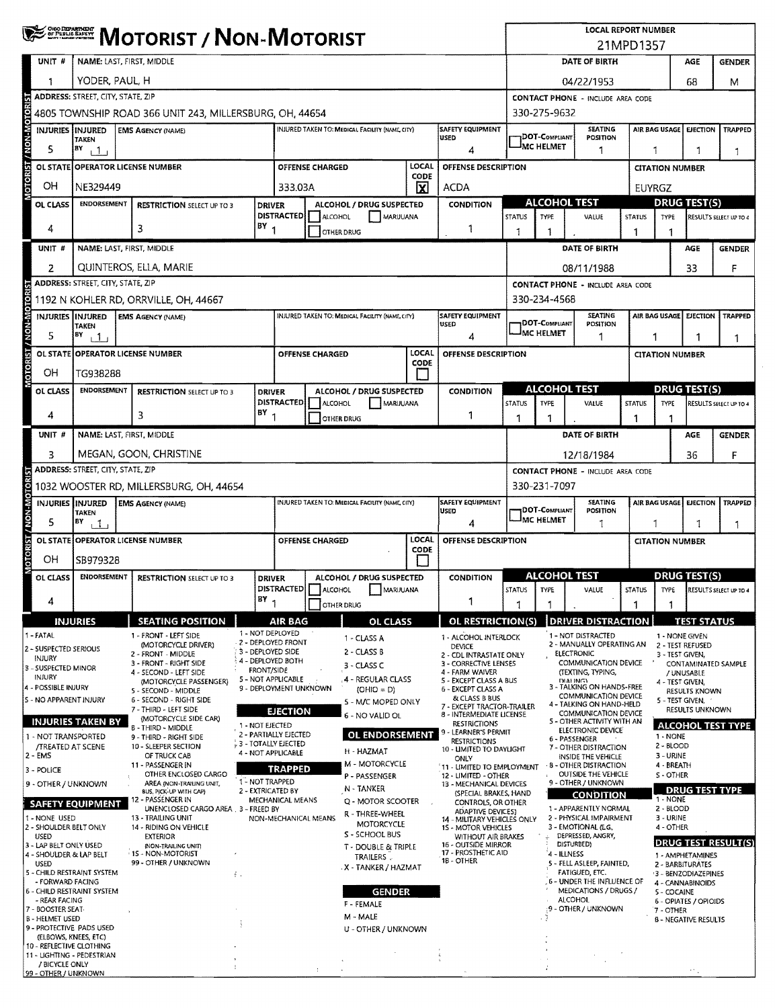|                                                                                                                                                                                                                                                                                                                                                                                                                                                        | <b>WE SHERE MOTORIST / NON-MOTORIST</b>                                                                         |                                                                            |                                                                                                                                                                                                                                                                                                                                                                                                                                                                                                                                                                                                                                                             |                                                                                                                                                                                                                                              |                                                                                                                                  |                        |                                                                                                                                                                                                                                                                                                                                                                                               |               |                                                                                                                                                                                                                                                                                                                                                                                                                                                                                                                                                                                                                                        | <b>LOCAL REPORT NUMBER</b>               |                                                                                                           |                                                                                                                                                                                                                                                                                                                                                                                                                                                                                                                                                                                                                                                                                                                             |                    |                                                                                                                                                                                                       |                                                                                                                                                                                                                                                                 |                                                                        |
|--------------------------------------------------------------------------------------------------------------------------------------------------------------------------------------------------------------------------------------------------------------------------------------------------------------------------------------------------------------------------------------------------------------------------------------------------------|-----------------------------------------------------------------------------------------------------------------|----------------------------------------------------------------------------|-------------------------------------------------------------------------------------------------------------------------------------------------------------------------------------------------------------------------------------------------------------------------------------------------------------------------------------------------------------------------------------------------------------------------------------------------------------------------------------------------------------------------------------------------------------------------------------------------------------------------------------------------------------|----------------------------------------------------------------------------------------------------------------------------------------------------------------------------------------------------------------------------------------------|----------------------------------------------------------------------------------------------------------------------------------|------------------------|-----------------------------------------------------------------------------------------------------------------------------------------------------------------------------------------------------------------------------------------------------------------------------------------------------------------------------------------------------------------------------------------------|---------------|----------------------------------------------------------------------------------------------------------------------------------------------------------------------------------------------------------------------------------------------------------------------------------------------------------------------------------------------------------------------------------------------------------------------------------------------------------------------------------------------------------------------------------------------------------------------------------------------------------------------------------------|------------------------------------------|-----------------------------------------------------------------------------------------------------------|-----------------------------------------------------------------------------------------------------------------------------------------------------------------------------------------------------------------------------------------------------------------------------------------------------------------------------------------------------------------------------------------------------------------------------------------------------------------------------------------------------------------------------------------------------------------------------------------------------------------------------------------------------------------------------------------------------------------------------|--------------------|-------------------------------------------------------------------------------------------------------------------------------------------------------------------------------------------------------|-----------------------------------------------------------------------------------------------------------------------------------------------------------------------------------------------------------------------------------------------------------------|------------------------------------------------------------------------|
|                                                                                                                                                                                                                                                                                                                                                                                                                                                        |                                                                                                                 |                                                                            |                                                                                                                                                                                                                                                                                                                                                                                                                                                                                                                                                                                                                                                             |                                                                                                                                                                                                                                              |                                                                                                                                  |                        |                                                                                                                                                                                                                                                                                                                                                                                               |               |                                                                                                                                                                                                                                                                                                                                                                                                                                                                                                                                                                                                                                        |                                          | 21MPD1357<br>DATE OF BIRTH<br>AGE<br><b>GENDER</b>                                                        |                                                                                                                                                                                                                                                                                                                                                                                                                                                                                                                                                                                                                                                                                                                             |                    |                                                                                                                                                                                                       |                                                                                                                                                                                                                                                                 |                                                                        |
| UNIT #                                                                                                                                                                                                                                                                                                                                                                                                                                                 |                                                                                                                 |                                                                            | NAME: LAST, FIRST, MIDDLE                                                                                                                                                                                                                                                                                                                                                                                                                                                                                                                                                                                                                                   |                                                                                                                                                                                                                                              |                                                                                                                                  |                        |                                                                                                                                                                                                                                                                                                                                                                                               |               |                                                                                                                                                                                                                                                                                                                                                                                                                                                                                                                                                                                                                                        |                                          |                                                                                                           |                                                                                                                                                                                                                                                                                                                                                                                                                                                                                                                                                                                                                                                                                                                             |                    |                                                                                                                                                                                                       |                                                                                                                                                                                                                                                                 |                                                                        |
|                                                                                                                                                                                                                                                                                                                                                                                                                                                        | YODER, PAUL, H<br>ADDRESS: STREET, CITY, STATE, ZIP                                                             |                                                                            |                                                                                                                                                                                                                                                                                                                                                                                                                                                                                                                                                                                                                                                             |                                                                                                                                                                                                                                              |                                                                                                                                  |                        |                                                                                                                                                                                                                                                                                                                                                                                               |               |                                                                                                                                                                                                                                                                                                                                                                                                                                                                                                                                                                                                                                        |                                          |                                                                                                           | 04/22/1953<br><b>CONTACT PHONE - INCLUDE AREA CODE</b>                                                                                                                                                                                                                                                                                                                                                                                                                                                                                                                                                                                                                                                                      |                    |                                                                                                                                                                                                       | 68                                                                                                                                                                                                                                                              | м                                                                      |
|                                                                                                                                                                                                                                                                                                                                                                                                                                                        |                                                                                                                 |                                                                            | 4805 TOWNSHIP ROAD 366 UNIT 243, MILLERSBURG, OH, 44654                                                                                                                                                                                                                                                                                                                                                                                                                                                                                                                                                                                                     |                                                                                                                                                                                                                                              |                                                                                                                                  |                        |                                                                                                                                                                                                                                                                                                                                                                                               |               |                                                                                                                                                                                                                                                                                                                                                                                                                                                                                                                                                                                                                                        |                                          | 330-275-9632                                                                                              |                                                                                                                                                                                                                                                                                                                                                                                                                                                                                                                                                                                                                                                                                                                             |                    |                                                                                                                                                                                                       |                                                                                                                                                                                                                                                                 |                                                                        |
| <b>OTOM-MON</b><br><b>INJURIES IINJURED</b>                                                                                                                                                                                                                                                                                                                                                                                                            |                                                                                                                 |                                                                            | <b>EMS AGENCY (NAME)</b>                                                                                                                                                                                                                                                                                                                                                                                                                                                                                                                                                                                                                                    |                                                                                                                                                                                                                                              |                                                                                                                                  |                        | INJURED TAKEN TO: MEDICAL FACILITY (NAME, CITY)                                                                                                                                                                                                                                                                                                                                               |               | <b>SAFETY EQUIPMENT</b>                                                                                                                                                                                                                                                                                                                                                                                                                                                                                                                                                                                                                |                                          |                                                                                                           | <b>SEATING</b>                                                                                                                                                                                                                                                                                                                                                                                                                                                                                                                                                                                                                                                                                                              |                    |                                                                                                                                                                                                       | AIR BAG USAGE   EJECTION                                                                                                                                                                                                                                        | TRAPPED                                                                |
| 5.                                                                                                                                                                                                                                                                                                                                                                                                                                                     | TAKEN<br>B٧<br>i 1 i                                                                                            |                                                                            |                                                                                                                                                                                                                                                                                                                                                                                                                                                                                                                                                                                                                                                             |                                                                                                                                                                                                                                              |                                                                                                                                  |                        |                                                                                                                                                                                                                                                                                                                                                                                               |               | <b>USED</b><br>4                                                                                                                                                                                                                                                                                                                                                                                                                                                                                                                                                                                                                       |                                          | DOT-Compliant<br><sup>I</sup> MC HELMET                                                                   | POSITION<br>1                                                                                                                                                                                                                                                                                                                                                                                                                                                                                                                                                                                                                                                                                                               |                    | 1                                                                                                                                                                                                     |                                                                                                                                                                                                                                                                 | 1                                                                      |
| <b>NOTORIST</b>                                                                                                                                                                                                                                                                                                                                                                                                                                        |                                                                                                                 |                                                                            | OL STATE OPERATOR LICENSE NUMBER                                                                                                                                                                                                                                                                                                                                                                                                                                                                                                                                                                                                                            |                                                                                                                                                                                                                                              |                                                                                                                                  | <b>OFFENSE CHARGED</b> |                                                                                                                                                                                                                                                                                                                                                                                               | LOCAL         | OFFENSE DESCRIPTION                                                                                                                                                                                                                                                                                                                                                                                                                                                                                                                                                                                                                    |                                          |                                                                                                           |                                                                                                                                                                                                                                                                                                                                                                                                                                                                                                                                                                                                                                                                                                                             |                    | <b>CITATION NUMBER</b>                                                                                                                                                                                |                                                                                                                                                                                                                                                                 |                                                                        |
| OН                                                                                                                                                                                                                                                                                                                                                                                                                                                     | NE329449                                                                                                        |                                                                            |                                                                                                                                                                                                                                                                                                                                                                                                                                                                                                                                                                                                                                                             |                                                                                                                                                                                                                                              | 333.03A                                                                                                                          |                        |                                                                                                                                                                                                                                                                                                                                                                                               | CODE<br>X     | ACDA                                                                                                                                                                                                                                                                                                                                                                                                                                                                                                                                                                                                                                   |                                          |                                                                                                           |                                                                                                                                                                                                                                                                                                                                                                                                                                                                                                                                                                                                                                                                                                                             |                    | EUYRGZ                                                                                                                                                                                                |                                                                                                                                                                                                                                                                 |                                                                        |
| OL CLASS                                                                                                                                                                                                                                                                                                                                                                                                                                               | <b>ENDORSEMENT</b>                                                                                              |                                                                            | <b>RESTRICTION SELECT UP TO 3</b>                                                                                                                                                                                                                                                                                                                                                                                                                                                                                                                                                                                                                           | <b>DRIVER</b>                                                                                                                                                                                                                                |                                                                                                                                  |                        | ALCOHOL / DRUG SUSPECTED                                                                                                                                                                                                                                                                                                                                                                      |               | <b>CONDITION</b>                                                                                                                                                                                                                                                                                                                                                                                                                                                                                                                                                                                                                       |                                          | <b>ALCOHOL TEST</b>                                                                                       |                                                                                                                                                                                                                                                                                                                                                                                                                                                                                                                                                                                                                                                                                                                             |                    |                                                                                                                                                                                                       | <b>DRUG TEST(S)</b>                                                                                                                                                                                                                                             |                                                                        |
|                                                                                                                                                                                                                                                                                                                                                                                                                                                        |                                                                                                                 |                                                                            |                                                                                                                                                                                                                                                                                                                                                                                                                                                                                                                                                                                                                                                             |                                                                                                                                                                                                                                              | DISTRACTED                                                                                                                       | ALCOHOL                |                                                                                                                                                                                                                                                                                                                                                                                               | MARIJUANA     |                                                                                                                                                                                                                                                                                                                                                                                                                                                                                                                                                                                                                                        | <b>STATUS</b>                            | <b>TYPE</b>                                                                                               | VALUE                                                                                                                                                                                                                                                                                                                                                                                                                                                                                                                                                                                                                                                                                                                       | <b>STATUS</b>      | <b>TYPE</b>                                                                                                                                                                                           |                                                                                                                                                                                                                                                                 | RESULTS SELECT UP TO 4                                                 |
| 4                                                                                                                                                                                                                                                                                                                                                                                                                                                      |                                                                                                                 |                                                                            | 3                                                                                                                                                                                                                                                                                                                                                                                                                                                                                                                                                                                                                                                           | $18Y_1$                                                                                                                                                                                                                                      |                                                                                                                                  |                        | OTHER DRUG                                                                                                                                                                                                                                                                                                                                                                                    |               | 1                                                                                                                                                                                                                                                                                                                                                                                                                                                                                                                                                                                                                                      | 1                                        |                                                                                                           |                                                                                                                                                                                                                                                                                                                                                                                                                                                                                                                                                                                                                                                                                                                             | 1                  | 1                                                                                                                                                                                                     |                                                                                                                                                                                                                                                                 |                                                                        |
| UNIT #                                                                                                                                                                                                                                                                                                                                                                                                                                                 |                                                                                                                 |                                                                            | NAME: LAST, FIRST, MIDDLE                                                                                                                                                                                                                                                                                                                                                                                                                                                                                                                                                                                                                                   |                                                                                                                                                                                                                                              |                                                                                                                                  |                        |                                                                                                                                                                                                                                                                                                                                                                                               |               |                                                                                                                                                                                                                                                                                                                                                                                                                                                                                                                                                                                                                                        |                                          |                                                                                                           | DATE OF BIRTH                                                                                                                                                                                                                                                                                                                                                                                                                                                                                                                                                                                                                                                                                                               |                    |                                                                                                                                                                                                       | AGE                                                                                                                                                                                                                                                             | <b>GENDER</b>                                                          |
| 2                                                                                                                                                                                                                                                                                                                                                                                                                                                      | QUINTEROS, ELLA, MARIE                                                                                          |                                                                            |                                                                                                                                                                                                                                                                                                                                                                                                                                                                                                                                                                                                                                                             |                                                                                                                                                                                                                                              |                                                                                                                                  |                        |                                                                                                                                                                                                                                                                                                                                                                                               |               |                                                                                                                                                                                                                                                                                                                                                                                                                                                                                                                                                                                                                                        |                                          |                                                                                                           | 08/11/1988                                                                                                                                                                                                                                                                                                                                                                                                                                                                                                                                                                                                                                                                                                                  |                    |                                                                                                                                                                                                       | 33                                                                                                                                                                                                                                                              | F                                                                      |
|                                                                                                                                                                                                                                                                                                                                                                                                                                                        | <b>ADDRESS: STREET, CITY, STATE, ZIP</b>                                                                        |                                                                            |                                                                                                                                                                                                                                                                                                                                                                                                                                                                                                                                                                                                                                                             |                                                                                                                                                                                                                                              |                                                                                                                                  |                        |                                                                                                                                                                                                                                                                                                                                                                                               |               |                                                                                                                                                                                                                                                                                                                                                                                                                                                                                                                                                                                                                                        |                                          |                                                                                                           | <b>CONTACT PHONE - INCLUDE AREA CODE</b>                                                                                                                                                                                                                                                                                                                                                                                                                                                                                                                                                                                                                                                                                    |                    |                                                                                                                                                                                                       |                                                                                                                                                                                                                                                                 |                                                                        |
|                                                                                                                                                                                                                                                                                                                                                                                                                                                        |                                                                                                                 |                                                                            | 1192 N KOHLER RD, ORRVILLE, OH, 44667                                                                                                                                                                                                                                                                                                                                                                                                                                                                                                                                                                                                                       |                                                                                                                                                                                                                                              |                                                                                                                                  |                        |                                                                                                                                                                                                                                                                                                                                                                                               |               | <b>SAFETY EQUIPMENT</b>                                                                                                                                                                                                                                                                                                                                                                                                                                                                                                                                                                                                                |                                          | 330-234-4568                                                                                              |                                                                                                                                                                                                                                                                                                                                                                                                                                                                                                                                                                                                                                                                                                                             |                    |                                                                                                                                                                                                       | AIR BAG USAGE EJECTION                                                                                                                                                                                                                                          |                                                                        |
| INJURIES IINJURED<br>5                                                                                                                                                                                                                                                                                                                                                                                                                                 | TAKEN<br>BY<br>11                                                                                               | <b>EMS AGENCY (NAME)</b>                                                   |                                                                                                                                                                                                                                                                                                                                                                                                                                                                                                                                                                                                                                                             |                                                                                                                                                                                                                                              |                                                                                                                                  |                        | INJURED TAKEN TO: MEDICAL FACILITY (NAME, CITY)                                                                                                                                                                                                                                                                                                                                               |               | <b>USED</b><br>4                                                                                                                                                                                                                                                                                                                                                                                                                                                                                                                                                                                                                       |                                          | <b>SEATING</b><br>DOT-COMPLIANT<br><b>POSITION</b><br><b>JMC HELMET</b><br>1                              |                                                                                                                                                                                                                                                                                                                                                                                                                                                                                                                                                                                                                                                                                                                             |                    |                                                                                                                                                                                                       |                                                                                                                                                                                                                                                                 | <b>TRAPPED</b><br>1                                                    |
|                                                                                                                                                                                                                                                                                                                                                                                                                                                        |                                                                                                                 |                                                                            | OL STATE OPERATOR LICENSE NUMBER                                                                                                                                                                                                                                                                                                                                                                                                                                                                                                                                                                                                                            |                                                                                                                                                                                                                                              |                                                                                                                                  | <b>OFFENSE CHARGED</b> |                                                                                                                                                                                                                                                                                                                                                                                               | LOCAL<br>CODE | OFFENSE DESCRIPTION                                                                                                                                                                                                                                                                                                                                                                                                                                                                                                                                                                                                                    |                                          |                                                                                                           |                                                                                                                                                                                                                                                                                                                                                                                                                                                                                                                                                                                                                                                                                                                             |                    | <b>CITATION NUMBER</b>                                                                                                                                                                                |                                                                                                                                                                                                                                                                 |                                                                        |
| OН                                                                                                                                                                                                                                                                                                                                                                                                                                                     | TG938288                                                                                                        |                                                                            |                                                                                                                                                                                                                                                                                                                                                                                                                                                                                                                                                                                                                                                             |                                                                                                                                                                                                                                              |                                                                                                                                  |                        |                                                                                                                                                                                                                                                                                                                                                                                               | $\sim$        |                                                                                                                                                                                                                                                                                                                                                                                                                                                                                                                                                                                                                                        |                                          |                                                                                                           |                                                                                                                                                                                                                                                                                                                                                                                                                                                                                                                                                                                                                                                                                                                             |                    |                                                                                                                                                                                                       |                                                                                                                                                                                                                                                                 |                                                                        |
| <b>OL CLASS</b>                                                                                                                                                                                                                                                                                                                                                                                                                                        | <b>ENDORSEMENT</b>                                                                                              |                                                                            | <b>RESTRICTION SELECT UP TO 3</b>                                                                                                                                                                                                                                                                                                                                                                                                                                                                                                                                                                                                                           | <b>DRIVER</b>                                                                                                                                                                                                                                |                                                                                                                                  |                        | ALCOHOL / DRUG SUSPECTED                                                                                                                                                                                                                                                                                                                                                                      |               | <b>CONDITION</b>                                                                                                                                                                                                                                                                                                                                                                                                                                                                                                                                                                                                                       |                                          | <b>ALCOHOL TEST</b>                                                                                       |                                                                                                                                                                                                                                                                                                                                                                                                                                                                                                                                                                                                                                                                                                                             |                    |                                                                                                                                                                                                       | <b>DRUG TEST(S)</b>                                                                                                                                                                                                                                             |                                                                        |
| 4                                                                                                                                                                                                                                                                                                                                                                                                                                                      |                                                                                                                 |                                                                            | 3                                                                                                                                                                                                                                                                                                                                                                                                                                                                                                                                                                                                                                                           | $(BY_1$                                                                                                                                                                                                                                      | <b>DISTRACTED</b>                                                                                                                | <b>ALCOHOL</b>         | <b>OTHER DRUG</b>                                                                                                                                                                                                                                                                                                                                                                             | MARIJUANA     | 1                                                                                                                                                                                                                                                                                                                                                                                                                                                                                                                                                                                                                                      | <b>STATUS</b>                            | <b>TYPE</b><br>1                                                                                          | VALUE                                                                                                                                                                                                                                                                                                                                                                                                                                                                                                                                                                                                                                                                                                                       | <b>STATUS</b><br>1 | <b>TYPE</b><br>1                                                                                                                                                                                      |                                                                                                                                                                                                                                                                 | RESULTS SHEET UP TO 4                                                  |
| UNIT#                                                                                                                                                                                                                                                                                                                                                                                                                                                  |                                                                                                                 |                                                                            | NAME: LAST, FIRST, MIDDLE                                                                                                                                                                                                                                                                                                                                                                                                                                                                                                                                                                                                                                   |                                                                                                                                                                                                                                              |                                                                                                                                  |                        |                                                                                                                                                                                                                                                                                                                                                                                               |               |                                                                                                                                                                                                                                                                                                                                                                                                                                                                                                                                                                                                                                        |                                          |                                                                                                           | DATE OF BIRTH                                                                                                                                                                                                                                                                                                                                                                                                                                                                                                                                                                                                                                                                                                               |                    |                                                                                                                                                                                                       | AGE                                                                                                                                                                                                                                                             | <b>GENDER</b>                                                          |
| 3                                                                                                                                                                                                                                                                                                                                                                                                                                                      |                                                                                                                 |                                                                            | MEGAN, GOON, CHRISTINE                                                                                                                                                                                                                                                                                                                                                                                                                                                                                                                                                                                                                                      |                                                                                                                                                                                                                                              |                                                                                                                                  |                        |                                                                                                                                                                                                                                                                                                                                                                                               |               |                                                                                                                                                                                                                                                                                                                                                                                                                                                                                                                                                                                                                                        | 12/18/1984<br>36<br>F                    |                                                                                                           |                                                                                                                                                                                                                                                                                                                                                                                                                                                                                                                                                                                                                                                                                                                             |                    |                                                                                                                                                                                                       |                                                                                                                                                                                                                                                                 |                                                                        |
|                                                                                                                                                                                                                                                                                                                                                                                                                                                        | ADDRESS: STREET, CITY, STATE, ZIP                                                                               |                                                                            |                                                                                                                                                                                                                                                                                                                                                                                                                                                                                                                                                                                                                                                             |                                                                                                                                                                                                                                              |                                                                                                                                  |                        |                                                                                                                                                                                                                                                                                                                                                                                               |               |                                                                                                                                                                                                                                                                                                                                                                                                                                                                                                                                                                                                                                        | <b>CONTACT PHONE - INCLUDE AREA CODE</b> |                                                                                                           |                                                                                                                                                                                                                                                                                                                                                                                                                                                                                                                                                                                                                                                                                                                             |                    |                                                                                                                                                                                                       |                                                                                                                                                                                                                                                                 |                                                                        |
|                                                                                                                                                                                                                                                                                                                                                                                                                                                        |                                                                                                                 |                                                                            | 1032 WOOSTER RD, MILLERSBURG, OH, 44654                                                                                                                                                                                                                                                                                                                                                                                                                                                                                                                                                                                                                     |                                                                                                                                                                                                                                              |                                                                                                                                  |                        |                                                                                                                                                                                                                                                                                                                                                                                               |               |                                                                                                                                                                                                                                                                                                                                                                                                                                                                                                                                                                                                                                        |                                          | 330-231-7097                                                                                              |                                                                                                                                                                                                                                                                                                                                                                                                                                                                                                                                                                                                                                                                                                                             |                    |                                                                                                                                                                                                       |                                                                                                                                                                                                                                                                 |                                                                        |
| INJURIES INJURED<br>5                                                                                                                                                                                                                                                                                                                                                                                                                                  | <b>TAKEN</b><br>BY<br>1 <sup>1</sup>                                                                            | INJURED TAKEN TO: MEDICAL FACILITY (NAME CITY)<br><b>EMS AGENCY (NAME)</b> |                                                                                                                                                                                                                                                                                                                                                                                                                                                                                                                                                                                                                                                             |                                                                                                                                                                                                                                              |                                                                                                                                  |                        |                                                                                                                                                                                                                                                                                                                                                                                               |               | <b>SAFETY EQUIPMENT</b><br><b>USED</b><br>4                                                                                                                                                                                                                                                                                                                                                                                                                                                                                                                                                                                            |                                          | <b>SEATING</b><br>AIR BAG USAGE EJECTION<br>DOT-COMPLIANT<br><b>POSITION</b><br>IMC HELMET<br>1<br>1<br>1 |                                                                                                                                                                                                                                                                                                                                                                                                                                                                                                                                                                                                                                                                                                                             |                    |                                                                                                                                                                                                       | <b>TRAPPED</b><br>1                                                                                                                                                                                                                                             |                                                                        |
| <b>OL STATE</b><br>OН                                                                                                                                                                                                                                                                                                                                                                                                                                  | SB979328                                                                                                        |                                                                            | <b>OPERATOR LICENSE NUMBER</b>                                                                                                                                                                                                                                                                                                                                                                                                                                                                                                                                                                                                                              |                                                                                                                                                                                                                                              |                                                                                                                                  | OFFENSE CHARGED        |                                                                                                                                                                                                                                                                                                                                                                                               | LOCAL<br>CODE | <b>OFFENSE DESCRIPTION</b>                                                                                                                                                                                                                                                                                                                                                                                                                                                                                                                                                                                                             |                                          |                                                                                                           |                                                                                                                                                                                                                                                                                                                                                                                                                                                                                                                                                                                                                                                                                                                             |                    | <b>CITATION NUMBER</b>                                                                                                                                                                                |                                                                                                                                                                                                                                                                 |                                                                        |
| OL CLASS                                                                                                                                                                                                                                                                                                                                                                                                                                               | <b>ENDORSEMENT</b>                                                                                              |                                                                            | <b>RESTRICTION SELECT UP TO 3</b>                                                                                                                                                                                                                                                                                                                                                                                                                                                                                                                                                                                                                           | <b>DRIVER</b>                                                                                                                                                                                                                                |                                                                                                                                  |                        | ALCOHOL / DRUG SUSPECTED                                                                                                                                                                                                                                                                                                                                                                      |               | <b>CONDITION</b>                                                                                                                                                                                                                                                                                                                                                                                                                                                                                                                                                                                                                       |                                          | <b>ALCOHOL TEST</b>                                                                                       |                                                                                                                                                                                                                                                                                                                                                                                                                                                                                                                                                                                                                                                                                                                             |                    |                                                                                                                                                                                                       | <b>DRUG TEST(S)</b>                                                                                                                                                                                                                                             |                                                                        |
| 4                                                                                                                                                                                                                                                                                                                                                                                                                                                      |                                                                                                                 |                                                                            |                                                                                                                                                                                                                                                                                                                                                                                                                                                                                                                                                                                                                                                             | BY <sub>1</sub>                                                                                                                                                                                                                              | DISTRACTED                                                                                                                       |                        | ALCOHOL MARIJUANA<br>OTHER DRUG                                                                                                                                                                                                                                                                                                                                                               |               | 1                                                                                                                                                                                                                                                                                                                                                                                                                                                                                                                                                                                                                                      |                                          | STATUS TYPE                                                                                               | VALUE                                                                                                                                                                                                                                                                                                                                                                                                                                                                                                                                                                                                                                                                                                                       |                    |                                                                                                                                                                                                       |                                                                                                                                                                                                                                                                 | STATUS TYPE RESULTS SELECT UP TO 4                                     |
|                                                                                                                                                                                                                                                                                                                                                                                                                                                        | <b>INJURIES</b>                                                                                                 |                                                                            | <b>SEATING POSITION</b>                                                                                                                                                                                                                                                                                                                                                                                                                                                                                                                                                                                                                                     |                                                                                                                                                                                                                                              | AIR BAG                                                                                                                          |                        | <b>OL CLASS</b>                                                                                                                                                                                                                                                                                                                                                                               |               | OL RESTRICTION(S)                                                                                                                                                                                                                                                                                                                                                                                                                                                                                                                                                                                                                      |                                          |                                                                                                           | <b>DRIVER DISTRACTION</b>                                                                                                                                                                                                                                                                                                                                                                                                                                                                                                                                                                                                                                                                                                   |                    |                                                                                                                                                                                                       | <b>TEST STATUS</b>                                                                                                                                                                                                                                              |                                                                        |
| 1 - FATAL<br>2 - SUSPECTED SERIOUS<br>INJURY<br>3 - SUSPECTED MINOR<br>INJURY<br>4 - POSSIBLE INJURY<br>S - NO APPARENT INJURY<br>1 - NOT TRANSPORTED<br><b><i>TREATED AT SCENE</i></b><br>2 - EMS<br>3 - POLICE<br>9 - OTHER / UNKNOWN<br>1 - NONE USED<br>2 - SHOULDER BELT ONLY<br><b>USED</b><br>3 - LAP BELT ONLY USED<br>4 - SHOULDER & LAP BELT<br><b>USED</b><br>- FORWARD FACING<br>- REAR FACING<br>7 - BOOSTER SEAT<br><b>B-HELMET USED</b> | <b>INJURIES TAKEN BY</b><br><b>SAFETY EQUIPMENT</b><br>5 - CHILD RESTRAINT SYSTEM<br>6 - CHILD RESTRAINT SYSTEM |                                                                            | 1 - FRONT - LEFT SIDE<br>(MOTORCYCLE DRIVER)<br>2 - FRONT - MIDDLE<br>3 - FRONT - RIGHT SIDE<br>4 - SECOND - LEFT SIDE<br>(MOTORCYCLE PASSENGER)<br>5 - SECOND - MIDDLE<br>6 - SECOND - RIGHT SIDE<br>7 - THIRD - LEFT SIDE<br>(MOTORCYCLE SIDE CAR)<br><b>B-THIRD-MIDDLE</b><br>9 - THIRD - RIGHT SIDE<br>10 - SLEEPER SECTION<br>OF TRUCK CAB<br>11 - PASSENGER IN<br>OTHER ENCLOSED CARGO<br>AREA (NON-TRAILING UNIT,<br>BUS, PICK-UP WITH CAP)<br>12 - PASSENGER IN<br>UNENCLOSED CARGO AREA 3 - FREED BY<br>13 - TRAILING UNIT<br>14 - RIDING ON VEHICLE<br><b>EXTERIOR</b><br>(NON-TRAILING UNIT)<br><b>1S - NON-MOTORIST</b><br>99 - OTHER / UNKNOWN | 1 - NOT DEPLOYED<br>2 - DEPLOYED FRONT<br>3 - DEPLOYED SIDE<br>4 - DEPLOYED BOTH<br><b>FRONT/SIDE</b><br>5 - NOT APPLICABLE<br>1 - NOT EJECTED<br>, 3 - TOTALLY EJECTED<br>4 - NOT APPLICABLE<br>1 - NOT TRAPPED<br>2 - EXTRICATED BY<br>¥., | 9 - DEPLOYMENT UNKNOWN<br><b>EJECTION</b><br>2 - PARTIALLY EJECTED<br><b>TRAPPED</b><br>MECHANICAL MEANS<br>NON-MECHANICAL MEANS |                        | 1 - CLASS A<br>2 - CLASS B<br>3 - CLASS C<br>4 - REGULAR CLASS<br>$(OHIO = D)$<br>5 - M/C MOPED ONLY<br>6 - NO VALID OL<br><b>OL ENDORSEMENT</b><br>H - HAZMAT<br>M - MOTORCYCLE<br>P - PASSENGER<br>N - TANKER<br>Q - MOTOR SCOOTER<br>R - THREE-WHEEL<br>MOTORCYCLE<br>S - SCHOOL BUS<br>T - DOUBLE & TRIPLE<br>TRAILERS,<br>X - TANKER / HAZMAT<br><b>GENDER</b><br>F - FEMALE<br>M - MALE |               | 1 - ALCOHOL INTERLOCK<br>DEVICE<br>2 - CDL INTRASTATE ONLY<br>3 - CORRECTIVE LENSES<br>4 - FARM WAIVER<br>5 - EXCEPT CLASS A BUS<br>6 - EXCEPT CLASS A<br>& CLASS B BUS<br>7 - EXCEPT TRACTOR-TRAILER<br>8 - INTERMEDIATE LICENSE<br><b>RESTRICTIONS</b><br>- LEARNER'S PERMIT<br><b>RESTRICTIONS</b><br>10 - UMITED TO DAYLIGHT<br>ONLY<br>'11 - LIMITED TO EMPLOYMENT<br>12 - LIMITED - OTHER<br>13 - MECHANICAL DEVICES<br>(SPECIAL BRAKES, HAND<br>CONTROLS, OR OTHER<br>ADAPTIVE DEVICES)<br>14 - MILITARY VEHICLES ONLY<br>1S - MOTOR VEHICLES<br>WITHOUT AIR BRAKES<br>16 - OUTSIDE MIRROR<br>17 - PROSTHETIC AID<br>18 - OTHER |                                          | 4 - ILLNESS                                                                                               | 1 - NOT DISTRACTED<br>2 - MANUALLY OPERATING AN<br><b>ELECTRONIC</b><br>COMMUNICATION DEVICE<br>(TEXTING, TYPING,<br><b>DIAHNGY</b><br>3 - TALKING ON HANDS-FREE<br>COMMUNICATION DEVICE<br>4 - TALKING ON HAND-HELD<br>COMMUNICATION DEVICE<br>5 - OTHER ACTIVITY WITH AN<br>ELECTRONIC DEVICE<br>6 - PASSENGER<br>7 - OTHER DISTRACTION<br>INSIDE THE VEHICLE<br>- 8 - OTHER DISTRACTION<br>OUTSIDE THE VEHICLE<br>9 - OTHER / UNKNOWN<br><b>CONDITION</b><br>1 - APPARENTLY NORMAL<br>2 - PHYSICAL IMPAIRMENT<br>3 - EMOTIONAL (E.G.,<br>DEPRESSED, ANGRY,<br>DISTURBED)<br>5 - FELL ASLEEP, FAINTED,<br>FATIGUED, ETC.<br>6 - UNDER THE INFLUENCE OF<br>MEDICATIONS / DRUGS /<br><b>ALCOHOL</b><br>:9 - OTHER / UNKNOWN |                    | 3 - TEST GIVEN,<br>4 - TEST GIVEN,<br>5 - TEST GIVEN,<br>1 - NONE<br>2 - BLOOD<br>3 - URINE<br>4 - BREATH<br>S - OTHER<br>1 - NONE<br>2 - BLOOD<br>3 - URINE<br>4 - OTHER<br>5 - COCAINE<br>7 - OTHER | 1 - NONE GIVEN<br>2 - TEST REFUSED<br>/ UNUSABLE<br>RESULTS KNOWN<br><b>RESULTS UNKNOWN</b><br><b>DRUG TEST TYPE</b><br>1 - AMPHETAMINES<br>2 - BARBITURATES<br>3 - BENZODIAZEPINES<br>4 - CANNABINOIDS<br>6 - OPIATES / OPIOIDS<br><b>B - NEGATIVE RESULTS</b> | CONTAMINATED SAMPLE<br><b>ALCOHOL TEST TYPE</b><br>DRUG TEST RESULT(S) |
| (ELBOWS, KNEES, ETC)<br>10 - REFLECTIVE CLOTHING<br>/ BICYCLE ONLY<br>99 - OTHER / UNKNOWN                                                                                                                                                                                                                                                                                                                                                             | 9 - PROTECTIVE PADS USED<br>11 - LIGHTING - PEDESTRIAN                                                          |                                                                            |                                                                                                                                                                                                                                                                                                                                                                                                                                                                                                                                                                                                                                                             |                                                                                                                                                                                                                                              |                                                                                                                                  |                        | U - OTHER / UNKNOWN                                                                                                                                                                                                                                                                                                                                                                           |               |                                                                                                                                                                                                                                                                                                                                                                                                                                                                                                                                                                                                                                        |                                          |                                                                                                           |                                                                                                                                                                                                                                                                                                                                                                                                                                                                                                                                                                                                                                                                                                                             |                    |                                                                                                                                                                                                       |                                                                                                                                                                                                                                                                 |                                                                        |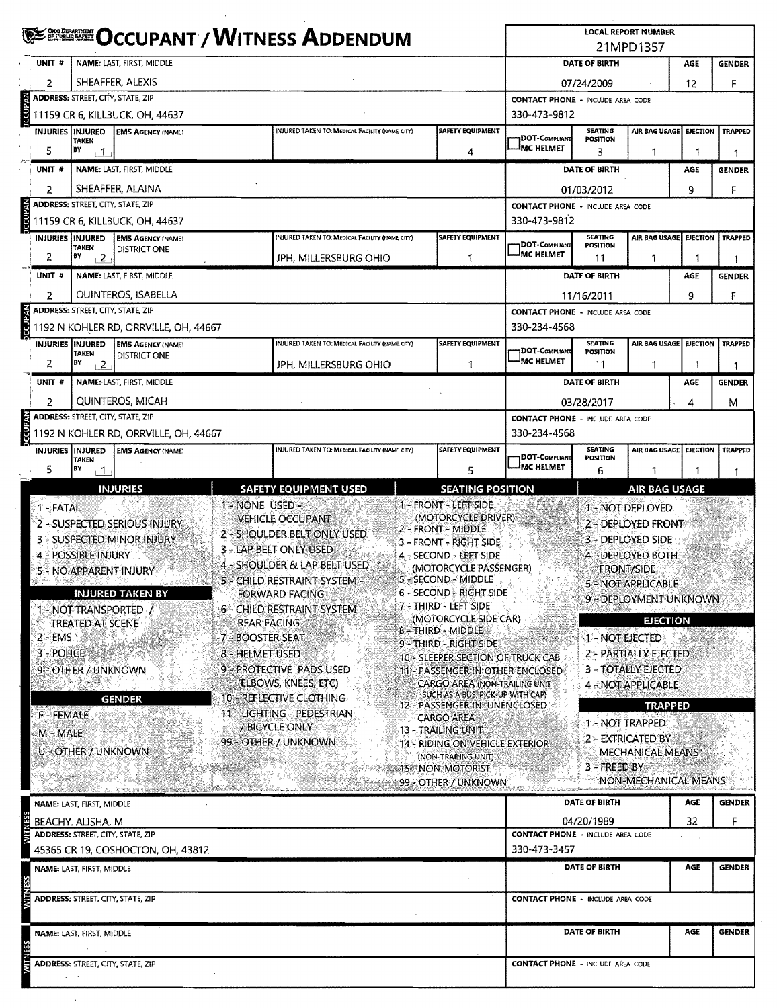|                                                        |                                       |                                                                          |                                                           | <b>EXAMPLE OCCUPANT / WITNESS ADDENDUM</b>                                                                                                            |                                                                                                                                                                                                                                                            |                                                          |                                          | 21MPD1357                                                                                                                             |            |                                |  |  |
|--------------------------------------------------------|---------------------------------------|--------------------------------------------------------------------------|-----------------------------------------------------------|-------------------------------------------------------------------------------------------------------------------------------------------------------|------------------------------------------------------------------------------------------------------------------------------------------------------------------------------------------------------------------------------------------------------------|----------------------------------------------------------|------------------------------------------|---------------------------------------------------------------------------------------------------------------------------------------|------------|--------------------------------|--|--|
| UNIT#                                                  |                                       | <b>NAME: LAST, FIRST, MIDDLE</b>                                         |                                                           |                                                                                                                                                       |                                                                                                                                                                                                                                                            |                                                          | DATE OF BIRTH                            |                                                                                                                                       | AGE        | <b>GENDER</b>                  |  |  |
| 2                                                      |                                       | SHEAFFER, ALEXIS                                                         |                                                           |                                                                                                                                                       |                                                                                                                                                                                                                                                            | 07/24/2009<br>12                                         |                                          |                                                                                                                                       |            |                                |  |  |
|                                                        |                                       | ADDRESS: STREET, CITY, STATE, ZIP                                        |                                                           |                                                                                                                                                       |                                                                                                                                                                                                                                                            | F<br><b>CONTACT PHONE - INCLUDE AREA CODE</b>            |                                          |                                                                                                                                       |            |                                |  |  |
|                                                        |                                       | 11159 CR 6, KILLBUCK, OH, 44637                                          |                                                           |                                                                                                                                                       |                                                                                                                                                                                                                                                            | 330-473-9812                                             |                                          |                                                                                                                                       |            |                                |  |  |
| <b>INJURIES INJURED</b>                                | <b>TAKEN</b>                          | <b>EMS AGENCY (NAME)</b>                                                 |                                                           | INJURED TAKEN TO: MEDICAL FACILITY (NAME, CITY)                                                                                                       | <b>SAFETY EQUIPMENT</b>                                                                                                                                                                                                                                    | <b>IDOT-C</b> ompliant                                   | <b>SEATING</b><br>POSITION               | AIR BAG USAGE EJECTION                                                                                                                |            | <b>TRAPPED</b>                 |  |  |
| 5                                                      | BY<br>i 1                             |                                                                          |                                                           |                                                                                                                                                       | 4                                                                                                                                                                                                                                                          | <b>IMC HELMET</b>                                        | 3                                        | 1                                                                                                                                     |            | 1                              |  |  |
| UNIT <sub>#</sub>                                      |                                       | NAME: LAST, FIRST, MIDDLE                                                |                                                           |                                                                                                                                                       |                                                                                                                                                                                                                                                            |                                                          | DATE OF BIRTH                            |                                                                                                                                       | AGE        | <b>GENDER</b>                  |  |  |
| 2                                                      |                                       | SHEAFFER, ALAINA                                                         |                                                           |                                                                                                                                                       |                                                                                                                                                                                                                                                            |                                                          | 01/03/2012                               |                                                                                                                                       | 9          | F                              |  |  |
|                                                        |                                       | <b>ADDRESS: STREET, CITY, STATE, ZIP</b>                                 |                                                           |                                                                                                                                                       |                                                                                                                                                                                                                                                            | <b>CONTACT PHONE - INCLUDE AREA CODE</b>                 |                                          |                                                                                                                                       |            |                                |  |  |
|                                                        |                                       | 11159 CR 6, KILLBUCK, OH, 44637                                          |                                                           |                                                                                                                                                       |                                                                                                                                                                                                                                                            | 330-473-9812                                             |                                          |                                                                                                                                       |            |                                |  |  |
| <b>INJURIES INJURED</b>                                |                                       | <b>EMS AGENCY (NAME)</b>                                                 |                                                           | INJURED TAKEN TO: MEDICAL FACILITY (NAME, CITY)                                                                                                       | <b>SAFETY EQUIPMENT</b>                                                                                                                                                                                                                                    |                                                          | SEATING                                  | AIR BAG USAGE EJECTION                                                                                                                |            | <b>TRAPPED</b>                 |  |  |
| 2                                                      | <b>TAKEN</b><br>ÐΥ<br>12              | <b>DISTRICT ONE</b>                                                      |                                                           | JPH, MILLERSBURG OHIO                                                                                                                                 | 1                                                                                                                                                                                                                                                          | DOT-COMPLIANT<br><sup>i</sup> MC HELMET                  | POSITION<br>11                           | 1                                                                                                                                     |            | 1                              |  |  |
| UNIT #                                                 |                                       | NAME: LAST, FIRST, MIDDLE                                                |                                                           |                                                                                                                                                       |                                                                                                                                                                                                                                                            |                                                          | DATE OF BIRTH                            |                                                                                                                                       | <b>AGE</b> | <b>GENDER</b>                  |  |  |
|                                                        |                                       |                                                                          |                                                           |                                                                                                                                                       |                                                                                                                                                                                                                                                            |                                                          |                                          |                                                                                                                                       |            |                                |  |  |
| 2                                                      |                                       | <b>OUINTEROS. ISABELLA</b><br><b>ADDRESS:</b> STREET, CITY, STATE, ZIP   |                                                           |                                                                                                                                                       |                                                                                                                                                                                                                                                            |                                                          | 11/16/2011                               |                                                                                                                                       | 9          | F                              |  |  |
|                                                        |                                       | 1192 N KOHLER RD, ORRVILLE, OH, 44667                                    |                                                           |                                                                                                                                                       |                                                                                                                                                                                                                                                            | <b>CONTACT PHONE - INCLUDE AREA CODE</b><br>330-234-4568 |                                          |                                                                                                                                       |            |                                |  |  |
| INJURIES INJURED                                       |                                       | <b>EMS AGENCY (NAME)</b>                                                 |                                                           | INJURED TAKEN TO: MEDICAL FACILITY (NAME, CITY)                                                                                                       | <b>SAFETY EQUIPMENT</b>                                                                                                                                                                                                                                    |                                                          | <b>SEATING</b>                           | AIR BAG USAGE EJECTION                                                                                                                |            | <b>TRAPPED</b>                 |  |  |
|                                                        | <b>TAKEN</b>                          | <b>DISTRICT ONE</b>                                                      |                                                           |                                                                                                                                                       |                                                                                                                                                                                                                                                            | <b>DOT-COMPLIANT</b><br>-IMC HELMET                      | POSITION                                 |                                                                                                                                       |            |                                |  |  |
| 2                                                      | BY<br>$\sqrt{2}$                      |                                                                          |                                                           | JPH, MILLERSBURG OHIO                                                                                                                                 | 1                                                                                                                                                                                                                                                          |                                                          | 11                                       | 1                                                                                                                                     |            | -1                             |  |  |
| UNIT #                                                 | NAME: LAST, FIRST, MIDDLE             |                                                                          |                                                           |                                                                                                                                                       |                                                                                                                                                                                                                                                            |                                                          | DATE OF BIRTH                            |                                                                                                                                       | AGE        | <b>GENDER</b>                  |  |  |
| 2                                                      | QUINTEROS, MICAH                      |                                                                          |                                                           |                                                                                                                                                       |                                                                                                                                                                                                                                                            |                                                          | 03/28/2017<br>4<br>м                     |                                                                                                                                       |            |                                |  |  |
|                                                        |                                       | <b>ADDRESS: STREET, CITY, STATE, ZIP</b>                                 |                                                           |                                                                                                                                                       |                                                                                                                                                                                                                                                            |                                                          | <b>CONTACT PHONE - INCLUDE AREA CODE</b> |                                                                                                                                       |            |                                |  |  |
|                                                        |                                       | 1192 N KOHLER RD, ORRVILLE, OH, 44667                                    |                                                           |                                                                                                                                                       |                                                                                                                                                                                                                                                            | 330-234-4568                                             |                                          |                                                                                                                                       |            |                                |  |  |
| <b>INJURIES INJURED</b>                                | <b>TAKEN</b>                          | <b>EMS AGENCY (NAME)</b>                                                 |                                                           | INJURED TAKEN TO: MEDICAL FACILITY (NAME, CITY)                                                                                                       | <b>SAFETY EQUIPMENT</b>                                                                                                                                                                                                                                    | DOT-COMPLIANT                                            | <b>SEATING</b><br>POSITION               | AIR BAG USAGE   EJECTION   TRAPPED                                                                                                    |            |                                |  |  |
| 5                                                      | BY<br>$\overline{1}$                  |                                                                          |                                                           |                                                                                                                                                       | 5                                                                                                                                                                                                                                                          | <b>MC HELMET</b>                                         | 6                                        | 1                                                                                                                                     |            |                                |  |  |
| $2 - EMS$                                              | <b>TREATED AT SCENE</b><br>3 - POLICE | 5 - NO APPARENT INJURY<br><b>INJURED TAKEN BY</b><br>1 - NOT TRANSPORTED | <b>REAR FACING</b><br>7 - BOOSTER SEAT<br>8 - HELMET USED | 4 - SHOULDER & LAP BELT USED<br>5 - CHILD RESTRAINT SYSTEM<br>FORWARD FACING<br>6 - CHILD RESTRAINT SYSTEM -                                          | (MOTORCYCLE PASSENGER)<br>5 - SECOND - MIDDLE<br>6 - SECOND - RIGHT SIDE<br>7 - THIRD - LEFT SIDE<br>(MOTORCYCLE SIDE CAR)<br>8 - THIRD - MIDDLE<br>9 - THIRD - RIGHT SIDE<br>10 - SLEEPER SECTION OF TRUCK CAB                                            |                                                          | 1 - NOT EJECTED                          | <b>FRONT/SIDE</b><br>5 = NOT APPLICABLE<br>9 - DEPLOYMENT UNKNOWN<br><b>EJECTION</b><br>2 - PARTIALLY EJECTED<br>3 - TOTALLY EJECTED. |            |                                |  |  |
| 9 - OTHER / UNKNOWN<br><b>F-FEMALE</b><br>$M - MALE^+$ |                                       | <b>GENDER</b><br>U - OTHER / UNKNOWN                                     |                                                           | 9 - PROTECTIVE PADS USED<br>(ELBOWS, KNEES, ETC)<br>10 - REFLECTIVE CLOTHING<br>11 - LIGHTING - PEDESTRIAN:<br>/ BICYCLE ONLY<br>99 - OTHER / UNKNOWN | 11 - PASSENGER IN OTHER ENCLOSED<br><b>CARGO AREA (NON-TRAILING UNIT)</b><br>SUCH AS A BUS, PICK-UP WITH CAP)<br>12 - PASSENGER IN UNENCLOSED<br><b>CARGO AREA</b><br>13 - TRAILING UNIT<br><b>14 - RIDING ON VEHICLE EXTERIOR</b><br>(NON-TRAILING UNIT): |                                                          | 3 - FREED BY                             | 4 - NOT APPLICABLE -<br><b>TRAPPED</b><br>1 - NOT TRAPPED<br>2 - EXTRICATED BY<br>MECHANICAL MEANS                                    |            |                                |  |  |
|                                                        |                                       | San British ang ti                                                       |                                                           |                                                                                                                                                       | SSE NON-MOTORIST<br>89 - OTHER / UNKNOWN                                                                                                                                                                                                                   |                                                          |                                          | <b>NON-MECHANICAL MEANS</b>                                                                                                           |            |                                |  |  |
|                                                        | NAME: LAST, FIRST, MIDDLE             |                                                                          |                                                           |                                                                                                                                                       |                                                                                                                                                                                                                                                            |                                                          | DATE OF BIRTH                            |                                                                                                                                       | AGE        |                                |  |  |
|                                                        | BEACHY, ALISHA, M                     |                                                                          |                                                           |                                                                                                                                                       |                                                                                                                                                                                                                                                            |                                                          | 04/20/1989                               |                                                                                                                                       | 32         | <b>GENDER</b><br>F             |  |  |
|                                                        |                                       | <b>ADDRESS: STREET, CITY, STATE, ZIP</b>                                 |                                                           |                                                                                                                                                       |                                                                                                                                                                                                                                                            | <b>CONTACT PHONE - INCLUDE AREA CODE</b>                 |                                          |                                                                                                                                       |            |                                |  |  |
|                                                        |                                       | 45365 CR 19, COSHOCTON, OH, 43812                                        |                                                           |                                                                                                                                                       |                                                                                                                                                                                                                                                            | 330-473-3457                                             |                                          |                                                                                                                                       |            |                                |  |  |
|                                                        | NAME: LAST, FIRST, MIDDLE             |                                                                          |                                                           |                                                                                                                                                       |                                                                                                                                                                                                                                                            |                                                          | DATE OF BIRTH                            |                                                                                                                                       | AGE        |                                |  |  |
|                                                        |                                       | <b>ADDRESS: STREET, CITY, STATE, ZIP</b>                                 |                                                           |                                                                                                                                                       |                                                                                                                                                                                                                                                            | <b>CONTACT PHONE - INCLUDE AREA CODE</b>                 |                                          |                                                                                                                                       |            |                                |  |  |
|                                                        | NAME: LAST, FIRST, MIDDLE             |                                                                          |                                                           |                                                                                                                                                       |                                                                                                                                                                                                                                                            |                                                          | DATE OF BIRTH                            |                                                                                                                                       | AGE        | <b>GENDER</b><br><b>GENDER</b> |  |  |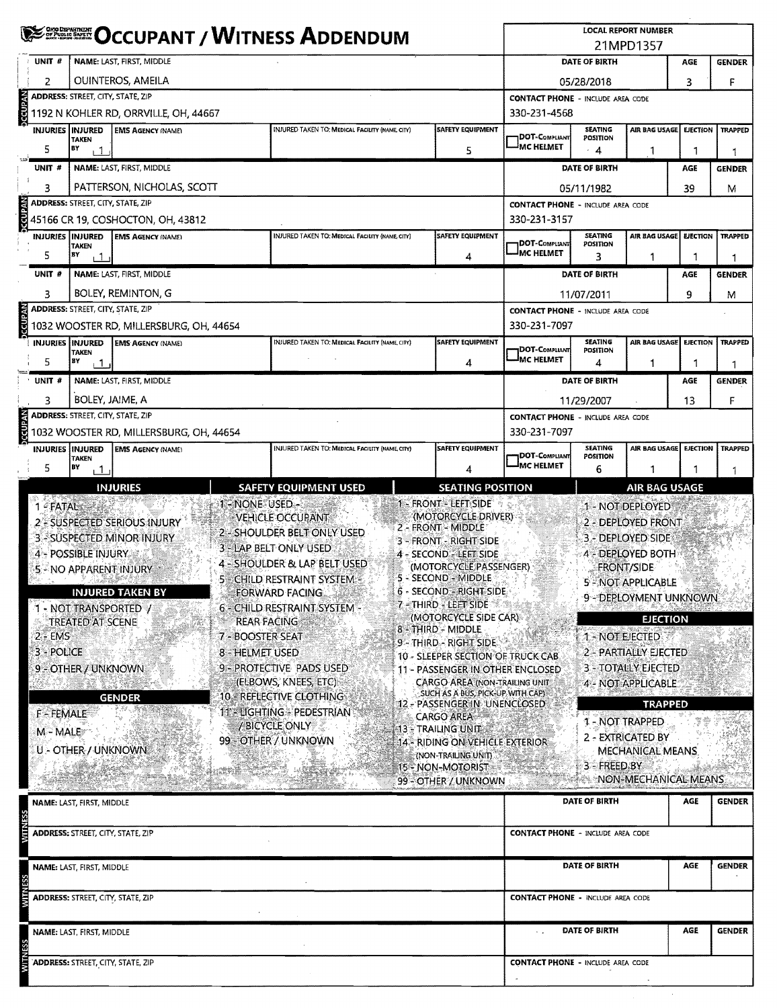|                                                 | <b>SEE OCCUPANT / WITNESS ADDENDUM</b>                                                                         |                                                                                                                                                               |                                                                                                                                                                                                                                                                                                                            |            |                                                                                                                                                                                                                                                                                                                                                                                                                                                                                                                                                                              |                                                          |                                   | <b>LOCAL REPORT NUMBER</b><br>21MPD1357                                                                                                                                                                                                                                                                                                 |                 |                                                                                                                                                                                       |  |  |  |  |  |  |
|-------------------------------------------------|----------------------------------------------------------------------------------------------------------------|---------------------------------------------------------------------------------------------------------------------------------------------------------------|----------------------------------------------------------------------------------------------------------------------------------------------------------------------------------------------------------------------------------------------------------------------------------------------------------------------------|------------|------------------------------------------------------------------------------------------------------------------------------------------------------------------------------------------------------------------------------------------------------------------------------------------------------------------------------------------------------------------------------------------------------------------------------------------------------------------------------------------------------------------------------------------------------------------------------|----------------------------------------------------------|-----------------------------------|-----------------------------------------------------------------------------------------------------------------------------------------------------------------------------------------------------------------------------------------------------------------------------------------------------------------------------------------|-----------------|---------------------------------------------------------------------------------------------------------------------------------------------------------------------------------------|--|--|--|--|--|--|
| UNIT#                                           |                                                                                                                | NAME: LAST, FIRST, MIDDLE                                                                                                                                     |                                                                                                                                                                                                                                                                                                                            |            |                                                                                                                                                                                                                                                                                                                                                                                                                                                                                                                                                                              | DATE OF BIRTH<br>AGE                                     |                                   |                                                                                                                                                                                                                                                                                                                                         |                 |                                                                                                                                                                                       |  |  |  |  |  |  |
| 2                                               |                                                                                                                | OUINTEROS, AMEILA                                                                                                                                             |                                                                                                                                                                                                                                                                                                                            |            |                                                                                                                                                                                                                                                                                                                                                                                                                                                                                                                                                                              |                                                          | 05/28/2018                        |                                                                                                                                                                                                                                                                                                                                         | 3               |                                                                                                                                                                                       |  |  |  |  |  |  |
|                                                 | <b>ADDRESS: STREET, CITY, STATE, ZIP</b>                                                                       |                                                                                                                                                               |                                                                                                                                                                                                                                                                                                                            |            |                                                                                                                                                                                                                                                                                                                                                                                                                                                                                                                                                                              | <b>CONTACT PHONE - INCLUDE AREA CODE</b>                 |                                   |                                                                                                                                                                                                                                                                                                                                         |                 |                                                                                                                                                                                       |  |  |  |  |  |  |
| <b>CCUPAN</b>                                   |                                                                                                                | 1192 N KOHLER RD, ORRVILLE, OH, 44667                                                                                                                         |                                                                                                                                                                                                                                                                                                                            |            |                                                                                                                                                                                                                                                                                                                                                                                                                                                                                                                                                                              | 330-231-4568                                             |                                   |                                                                                                                                                                                                                                                                                                                                         |                 |                                                                                                                                                                                       |  |  |  |  |  |  |
| <b>INJURIES   INJURED</b>                       |                                                                                                                | <b>EMS AGENCY (NAME)</b>                                                                                                                                      | INJURED TAKEN TO: MEDICAL FACILITY (NAME, CITY)                                                                                                                                                                                                                                                                            |            | <b>SAFETY EQUIPMENT</b>                                                                                                                                                                                                                                                                                                                                                                                                                                                                                                                                                      |                                                          | <b>SEATING</b>                    | AIR BAG USAGE                                                                                                                                                                                                                                                                                                                           | <b>EJECTION</b> | <b>TRAPPED</b>                                                                                                                                                                        |  |  |  |  |  |  |
| 5                                               | <b>TAKEN</b><br>BY<br>$\overline{1}$                                                                           |                                                                                                                                                               |                                                                                                                                                                                                                                                                                                                            |            | 5                                                                                                                                                                                                                                                                                                                                                                                                                                                                                                                                                                            | <b>IDOT-COMPLIANT</b><br><sup>I</sup> MC HELMET          | POSITION<br>$\cdot$ 4             | 1                                                                                                                                                                                                                                                                                                                                       | 1               |                                                                                                                                                                                       |  |  |  |  |  |  |
| UNIT #                                          |                                                                                                                | NAME: LAST, FIRST, MIDDLE                                                                                                                                     |                                                                                                                                                                                                                                                                                                                            |            |                                                                                                                                                                                                                                                                                                                                                                                                                                                                                                                                                                              |                                                          | DATE OF BIRTH                     |                                                                                                                                                                                                                                                                                                                                         | AGE             |                                                                                                                                                                                       |  |  |  |  |  |  |
|                                                 |                                                                                                                | PATTERSON, NICHOLAS, SCOTT                                                                                                                                    |                                                                                                                                                                                                                                                                                                                            |            |                                                                                                                                                                                                                                                                                                                                                                                                                                                                                                                                                                              |                                                          |                                   |                                                                                                                                                                                                                                                                                                                                         |                 |                                                                                                                                                                                       |  |  |  |  |  |  |
| 3                                               | <b>ADDRESS: STREET, CITY, STATE, ZIP</b>                                                                       |                                                                                                                                                               | <b>CONTACT PHONE - INCLUDE AREA CODE</b>                                                                                                                                                                                                                                                                                   | 05/11/1982 |                                                                                                                                                                                                                                                                                                                                                                                                                                                                                                                                                                              | 39                                                       |                                   |                                                                                                                                                                                                                                                                                                                                         |                 |                                                                                                                                                                                       |  |  |  |  |  |  |
|                                                 |                                                                                                                | 45166 CR 19, COSHOCTON, OH, 43812                                                                                                                             |                                                                                                                                                                                                                                                                                                                            |            |                                                                                                                                                                                                                                                                                                                                                                                                                                                                                                                                                                              | 330-231-3157                                             |                                   |                                                                                                                                                                                                                                                                                                                                         |                 |                                                                                                                                                                                       |  |  |  |  |  |  |
| INJURIES INJURED                                |                                                                                                                | <b>EMS AGENCY (NAME)</b>                                                                                                                                      | INJURED TAKEN TO: MEDICAL FACILITY (NAME, CITY)                                                                                                                                                                                                                                                                            |            | SAFETY EQUIPMENT                                                                                                                                                                                                                                                                                                                                                                                                                                                                                                                                                             | <b>SEATING</b><br>AIR BAG USAGE                          |                                   |                                                                                                                                                                                                                                                                                                                                         | <b>EJECTION</b> | <b>TRAPPED</b>                                                                                                                                                                        |  |  |  |  |  |  |
| 5                                               | <b>TAKEN</b><br>EΥ<br>$\overline{1}$                                                                           |                                                                                                                                                               |                                                                                                                                                                                                                                                                                                                            |            | 4                                                                                                                                                                                                                                                                                                                                                                                                                                                                                                                                                                            | DOT-COMPLIANT<br><b>JMC HELMET</b>                       | <b>POSITION</b><br>3              | 1                                                                                                                                                                                                                                                                                                                                       | 1               |                                                                                                                                                                                       |  |  |  |  |  |  |
| UNIT #                                          |                                                                                                                | NAME: LAST, FIRST, MIDDLE                                                                                                                                     |                                                                                                                                                                                                                                                                                                                            |            |                                                                                                                                                                                                                                                                                                                                                                                                                                                                                                                                                                              |                                                          | DATE OF BIRTH                     |                                                                                                                                                                                                                                                                                                                                         | AGE             |                                                                                                                                                                                       |  |  |  |  |  |  |
|                                                 |                                                                                                                |                                                                                                                                                               |                                                                                                                                                                                                                                                                                                                            |            |                                                                                                                                                                                                                                                                                                                                                                                                                                                                                                                                                                              |                                                          |                                   |                                                                                                                                                                                                                                                                                                                                         |                 |                                                                                                                                                                                       |  |  |  |  |  |  |
| 3                                               |                                                                                                                | BOLEY, REMINTON, G                                                                                                                                            |                                                                                                                                                                                                                                                                                                                            |            |                                                                                                                                                                                                                                                                                                                                                                                                                                                                                                                                                                              |                                                          | 11/07/2011                        |                                                                                                                                                                                                                                                                                                                                         | 9               |                                                                                                                                                                                       |  |  |  |  |  |  |
| <b>NAdDJC</b>                                   | ADDRESS: STREET, CITY, STATE, ZIP                                                                              | 1032 WOOSTER RD, MILLERSBURG, OH, 44654                                                                                                                       |                                                                                                                                                                                                                                                                                                                            |            |                                                                                                                                                                                                                                                                                                                                                                                                                                                                                                                                                                              | <b>CONTACT PHONE - INCLUDE AREA CODE</b><br>330-231-7097 |                                   |                                                                                                                                                                                                                                                                                                                                         |                 | <b>GENDER</b><br>F<br>1<br><b>GENDER</b><br>М<br>1<br><b>GENDER</b><br>M<br><b>TRAPPED</b><br>1<br><b>GENDER</b><br>F<br><b>TRAPPED</b><br>1<br><b>AIR BAG USAGE</b><br><b>GENDER</b> |  |  |  |  |  |  |
| <b>INJURIES IINJURED</b>                        |                                                                                                                | <b>EMS AGENCY (NAME)</b>                                                                                                                                      | INJURED TAKEN TO: MEDICAL FACILITY (NAME CITY)                                                                                                                                                                                                                                                                             |            | <b>SAFETY EQUIPMENT</b>                                                                                                                                                                                                                                                                                                                                                                                                                                                                                                                                                      |                                                          | <b>SEATING</b>                    | AIR BAG USAGE                                                                                                                                                                                                                                                                                                                           | <b>EJECTION</b> |                                                                                                                                                                                       |  |  |  |  |  |  |
|                                                 | <b>TAKEN</b>                                                                                                   |                                                                                                                                                               |                                                                                                                                                                                                                                                                                                                            |            |                                                                                                                                                                                                                                                                                                                                                                                                                                                                                                                                                                              | <b>DOT-COMPLIANT</b><br>MC HELMET                        | POSITION                          |                                                                                                                                                                                                                                                                                                                                         |                 |                                                                                                                                                                                       |  |  |  |  |  |  |
| 5                                               | ВY<br>$+1$                                                                                                     |                                                                                                                                                               |                                                                                                                                                                                                                                                                                                                            |            | 4                                                                                                                                                                                                                                                                                                                                                                                                                                                                                                                                                                            |                                                          | 4                                 | $\mathbf{1}$                                                                                                                                                                                                                                                                                                                            | 1               |                                                                                                                                                                                       |  |  |  |  |  |  |
| UNIT #                                          |                                                                                                                | NAME: LAST, FIRST, MIDDLE                                                                                                                                     |                                                                                                                                                                                                                                                                                                                            |            |                                                                                                                                                                                                                                                                                                                                                                                                                                                                                                                                                                              |                                                          | DATE OF BIRTH                     |                                                                                                                                                                                                                                                                                                                                         | AGE             |                                                                                                                                                                                       |  |  |  |  |  |  |
| 3                                               | BOLEY, JAIME, A                                                                                                |                                                                                                                                                               |                                                                                                                                                                                                                                                                                                                            |            |                                                                                                                                                                                                                                                                                                                                                                                                                                                                                                                                                                              |                                                          | 11/29/2007                        |                                                                                                                                                                                                                                                                                                                                         | 13              |                                                                                                                                                                                       |  |  |  |  |  |  |
|                                                 |                                                                                                                | <b>ADDRESS: STREET, CITY, STATE, ZIP</b>                                                                                                                      |                                                                                                                                                                                                                                                                                                                            |            |                                                                                                                                                                                                                                                                                                                                                                                                                                                                                                                                                                              | <b>CONTACT PHONE - INCLUDE AREA CODE</b>                 |                                   |                                                                                                                                                                                                                                                                                                                                         |                 |                                                                                                                                                                                       |  |  |  |  |  |  |
|                                                 |                                                                                                                | 1032 WOOSTER RD, MILLERSBURG, OH, 44654                                                                                                                       |                                                                                                                                                                                                                                                                                                                            |            |                                                                                                                                                                                                                                                                                                                                                                                                                                                                                                                                                                              | 330-231-7097                                             |                                   |                                                                                                                                                                                                                                                                                                                                         |                 |                                                                                                                                                                                       |  |  |  |  |  |  |
| <b>INJURIES INJURED</b>                         | <b>TAKEN</b>                                                                                                   | <b>EMS AGENCY (NAME)</b>                                                                                                                                      | INJURED TAKEN TO: MEDICAL FACILITY (NAME CITY)                                                                                                                                                                                                                                                                             |            | SAFETY EQUIPMENT                                                                                                                                                                                                                                                                                                                                                                                                                                                                                                                                                             | DOT-COMPLIANT                                            | <b>SEATING</b><br><b>POSITION</b> | AIR BAG USAGE                                                                                                                                                                                                                                                                                                                           | <b>EJECTION</b> |                                                                                                                                                                                       |  |  |  |  |  |  |
| 5                                               | BY<br>, 1                                                                                                      |                                                                                                                                                               |                                                                                                                                                                                                                                                                                                                            |            |                                                                                                                                                                                                                                                                                                                                                                                                                                                                                                                                                                              | <b>MC HELMET</b>                                         | 6                                 |                                                                                                                                                                                                                                                                                                                                         |                 |                                                                                                                                                                                       |  |  |  |  |  |  |
| $2 - EMS$<br>3 - POLICE<br>F-FEMALE<br>M - MALE | 4 - POSSIBLE INJURY<br>1 - NOT TRANSPORTED Y<br>TREATED AT SCENE<br>9 - OTHER / UNKNOWN<br>U - OTHER / UNKNOWN | 3 - SUSPECTED MINOR INJURY<br>5 - NO APPARENT INJURY<br><b>INJURED TAKEN BY</b><br><b>REAR FACING</b><br>7 - BOOSTER SEAT<br>8 - HELMET USED<br><b>GENDER</b> | 3 - LAP BELT ONLY USED<br>4 - SHOULDER & LAP BELT USED<br>5 - CHILD RESTRAINT SYSTEM -<br><b>FORWARD FACING</b><br>. ja kategori<br>6 - CHILD RESTRAINT SYSTEM -<br>9 - PROTECTIVE PADS USED<br>(ELBOWS, KNEES, ETC)<br><b>10 - REFLECTIVE CLOTHING</b><br>11 EUGHTING PEDESTRIAN<br>/BICYCLE ONLY<br>99 - OTHER / UNKNOWN |            | 3 - FRONT - RIGHT SIDE<br>4 - SECOND - LEFT SIDE<br>(MOTORCYCLE/PASSENGER)<br>5 - SECOND - MIDDLE<br><b>6 - SECOND - RIGHT SIDE</b><br>7 - THIRD - LEFT SIDE<br>(MOTORCYCLE SIDE CAR)<br>8 - THIRD - MIDDLE<br>9 - THIRD - RIGHT SIDE<br>10 - SLEEPER SECTION OF TRUCK CAB<br>11 - PASSENGER IN OTHER ENCLOSED<br><b>CARGO AREA (NON-TRAILING UNIT</b><br>SUCH AS A BUS, PICK-UP WITH CAP)<br>12 - PASSENGER IN UNENCLOSED<br><b>CARGO AREA</b><br>13 - TRAILING UNIT<br>14 - RIDING ON VEHICLE EXTERIOR<br>(NON-TRAILING UNIT)<br>15 - NON-MOTORIST<br>99 - OTHER / UNKNOWN |                                                          | 1 - NOT EIECTED<br>3 - FREED BY   | 3 - DEPLOYED SIDE<br><b>4 - DEPLOYED BOTH</b><br><b>FRONT/SIDE</b><br>5 - NOT APPLICABLE<br>9 - DEPLOYMENT UNKNOWN<br><b>EJECTION</b><br>2 - PARTIALLY EJECTED<br><b>3 - TOTALLY EJECTED</b><br>4 - NOT APPLICABLE<br><b>TRAPPED</b><br>1 - NOT TRAPPED-<br><b>2 - EXTRICATED BY</b><br><b>MECHANICAL MEANS</b><br>NON-MECHANICAL MEANS |                 |                                                                                                                                                                                       |  |  |  |  |  |  |
|                                                 | NAME: LAST, FIRST, MIDDLE                                                                                      | ADDRESS: STREET, CITY, STATE, ZIP                                                                                                                             |                                                                                                                                                                                                                                                                                                                            |            |                                                                                                                                                                                                                                                                                                                                                                                                                                                                                                                                                                              | <b>CONTACT PHONE - INCLUDE AREA CODE</b>                 | DATE OF BIRTH                     |                                                                                                                                                                                                                                                                                                                                         | AGE             |                                                                                                                                                                                       |  |  |  |  |  |  |
|                                                 |                                                                                                                |                                                                                                                                                               |                                                                                                                                                                                                                                                                                                                            |            |                                                                                                                                                                                                                                                                                                                                                                                                                                                                                                                                                                              |                                                          |                                   |                                                                                                                                                                                                                                                                                                                                         |                 |                                                                                                                                                                                       |  |  |  |  |  |  |
|                                                 | NAME: LAST, FIRST, MIDDLE                                                                                      |                                                                                                                                                               |                                                                                                                                                                                                                                                                                                                            |            |                                                                                                                                                                                                                                                                                                                                                                                                                                                                                                                                                                              |                                                          | DATE OF BIRTH                     |                                                                                                                                                                                                                                                                                                                                         | AGE             | <b>GENDER</b>                                                                                                                                                                         |  |  |  |  |  |  |
|                                                 |                                                                                                                | ADDRESS: STREET, CITY, STATE, ZIP                                                                                                                             |                                                                                                                                                                                                                                                                                                                            |            |                                                                                                                                                                                                                                                                                                                                                                                                                                                                                                                                                                              | <b>CONTACT PHONE - INCLUDE AREA CODE</b>                 |                                   |                                                                                                                                                                                                                                                                                                                                         |                 |                                                                                                                                                                                       |  |  |  |  |  |  |
|                                                 | NAME: LAST, FIRST, MIDDLE                                                                                      |                                                                                                                                                               |                                                                                                                                                                                                                                                                                                                            |            |                                                                                                                                                                                                                                                                                                                                                                                                                                                                                                                                                                              |                                                          | DATE OF BIRTH                     |                                                                                                                                                                                                                                                                                                                                         | AGE             | <b>GENDER</b>                                                                                                                                                                         |  |  |  |  |  |  |
|                                                 |                                                                                                                | <b>ADDRESS: STREET, CITY, STATE, ZIP</b>                                                                                                                      |                                                                                                                                                                                                                                                                                                                            |            |                                                                                                                                                                                                                                                                                                                                                                                                                                                                                                                                                                              | <b>CONTACT PHONE - INCLUDE AREA CODE</b>                 |                                   |                                                                                                                                                                                                                                                                                                                                         |                 |                                                                                                                                                                                       |  |  |  |  |  |  |